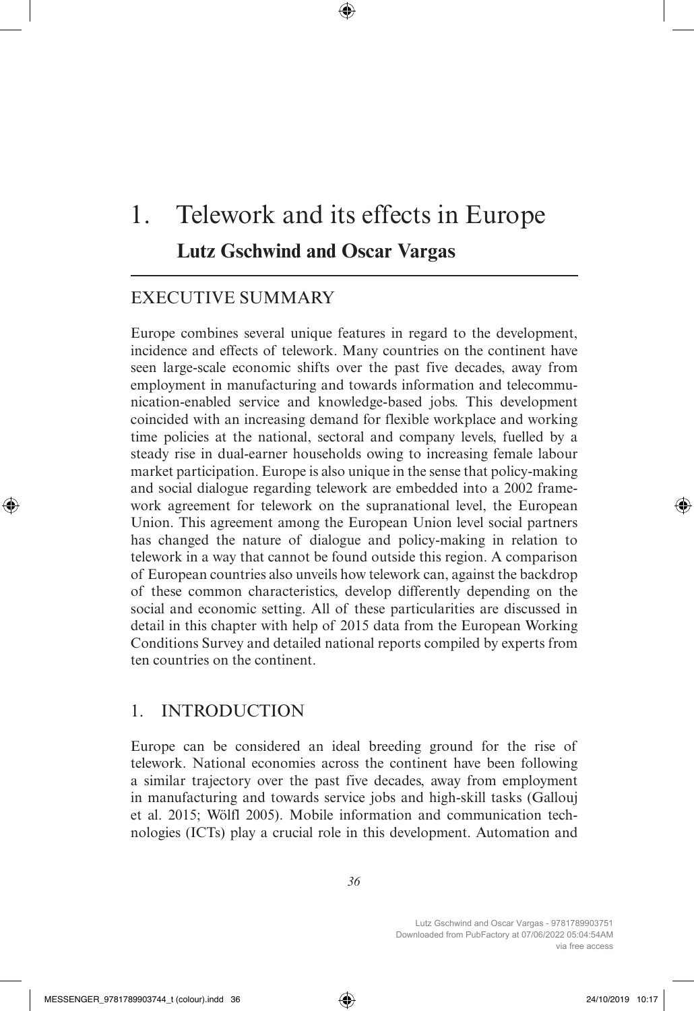# 1. Telework and its effects in Europe **Lutz Gschwind and Oscar Vargas**

# EXECUTIVE SUMMARY

Europe combines several unique features in regard to the development, incidence and effects of telework. Many countries on the continent have seen large-scale economic shifts over the past five decades, away from employment in manufacturing and towards information and telecommunication-enabled service and knowledge-based jobs. This development coincided with an increasing demand for flexible workplace and working time policies at the national, sectoral and company levels, fuelled by a steady rise in dual-earner households owing to increasing female labour market participation. Europe is also unique in the sense that policy-making and social dialogue regarding telework are embedded into a 2002 framework agreement for telework on the supranational level, the European Union. This agreement among the European Union level social partners has changed the nature of dialogue and policy-making in relation to telework in a way that cannot be found outside this region. A comparison of European countries also unveils how telework can, against the backdrop of these common characteristics, develop differently depending on the social and economic setting. All of these particularities are discussed in detail in this chapter with help of 2015 data from the European Working Conditions Survey and detailed national reports compiled by experts from ten countries on the continent.

# 1. INTRODUCTION

Europe can be considered an ideal breeding ground for the rise of telework. National economies across the continent have been following a similar trajectory over the past five decades, away from employment in manufacturing and towards service jobs and high-skill tasks (Gallouj et al. 2015; Wölfl 2005). Mobile information and communication technologies (ICTs) play a crucial role in this development. Automation and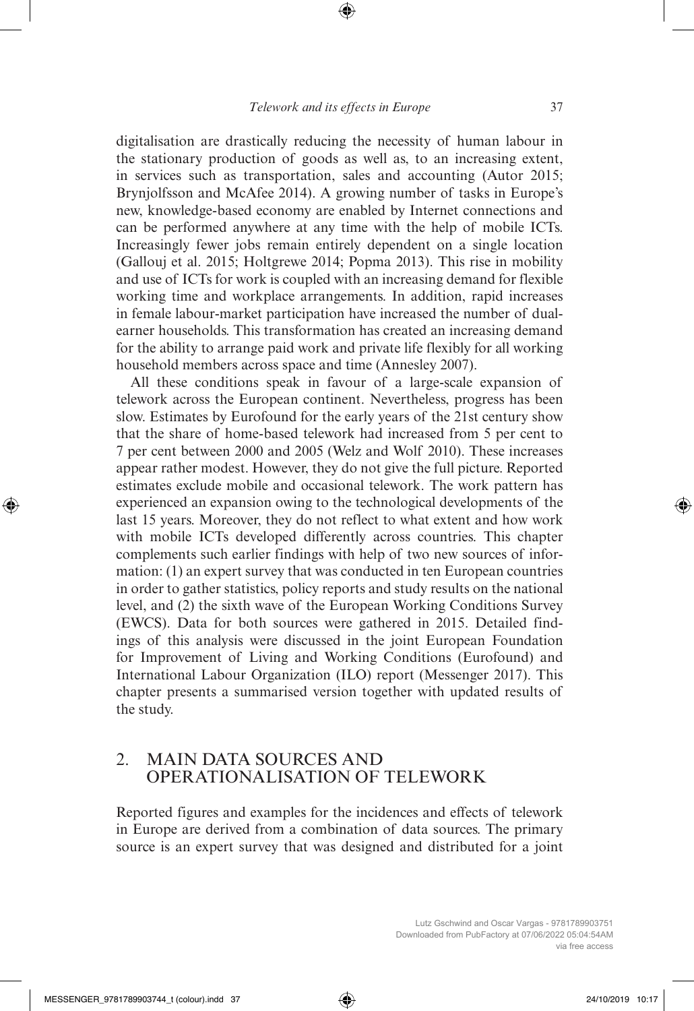digitalisation are drastically reducing the necessity of human labour in the stationary production of goods as well as, to an increasing extent, in services such as transportation, sales and accounting (Autor 2015; Brynjolfsson and McAfee 2014). A growing number of tasks in Europe's new, knowledge-based economy are enabled by Internet connections and can be performed anywhere at any time with the help of mobile ICTs. Increasingly fewer jobs remain entirely dependent on a single location (Gallouj et al. 2015; Holtgrewe 2014; Popma 2013). This rise in mobility and use of ICTs for work is coupled with an increasing demand for flexible working time and workplace arrangements. In addition, rapid increases in female labour-market participation have increased the number of dualearner households. This transformation has created an increasing demand for the ability to arrange paid work and private life flexibly for all working household members across space and time (Annesley 2007).

All these conditions speak in favour of a large-scale expansion of telework across the European continent. Nevertheless, progress has been slow. Estimates by Eurofound for the early years of the 21st century show that the share of home-based telework had increased from 5 per cent to 7 per cent between 2000 and 2005 (Welz and Wolf 2010). These increases appear rather modest. However, they do not give the full picture. Reported estimates exclude mobile and occasional telework. The work pattern has experienced an expansion owing to the technological developments of the last 15 years. Moreover, they do not reflect to what extent and how work with mobile ICTs developed differently across countries. This chapter complements such earlier findings with help of two new sources of information: (1) an expert survey that was conducted in ten European countries in order to gather statistics, policy reports and study results on the national level, and (2) the sixth wave of the European Working Conditions Survey (EWCS). Data for both sources were gathered in 2015. Detailed findings of this analysis were discussed in the joint European Foundation for Improvement of Living and Working Conditions (Eurofound) and International Labour Organization (ILO) report (Messenger 2017). This chapter presents a summarised version together with updated results of the study.

## 2. MAIN DATA SOURCES AND OPERATIONALISATION OF TELEWORK

Reported figures and examples for the incidences and effects of telework in Europe are derived from a combination of data sources. The primary source is an expert survey that was designed and distributed for a joint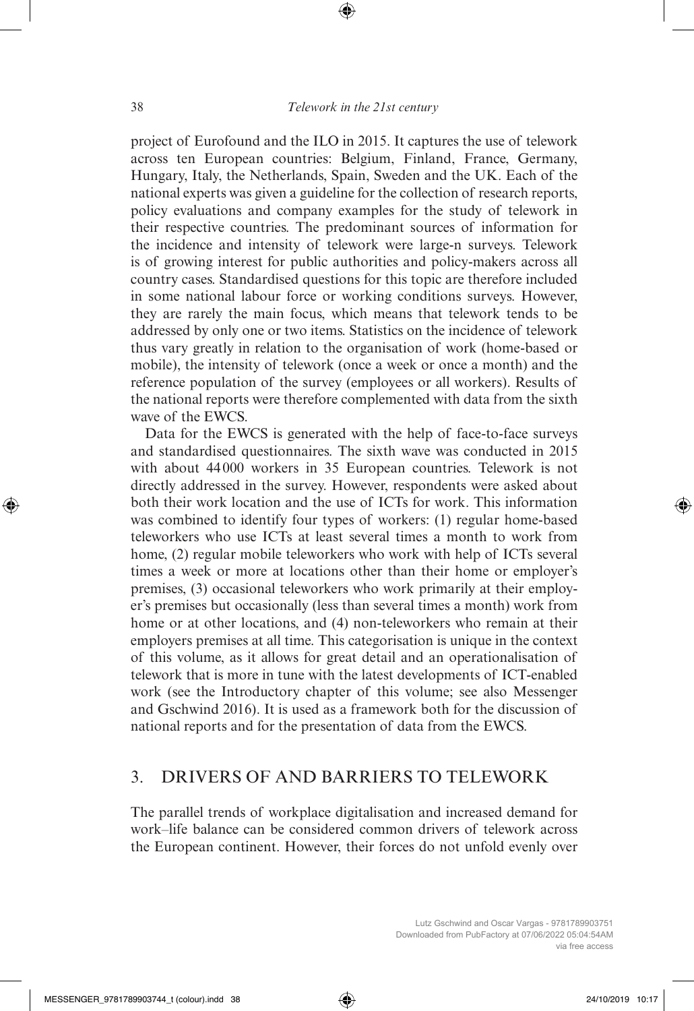project of Eurofound and the ILO in 2015. It captures the use of telework across ten European countries: Belgium, Finland, France, Germany, Hungary, Italy, the Netherlands, Spain, Sweden and the UK. Each of the national experts was given a guideline for the collection of research reports, policy evaluations and company examples for the study of telework in their respective countries. The predominant sources of information for the incidence and intensity of telework were large-n surveys. Telework is of growing interest for public authorities and policy-makers across all country cases. Standardised questions for this topic are therefore included in some national labour force or working conditions surveys. However, they are rarely the main focus, which means that telework tends to be addressed by only one or two items. Statistics on the incidence of telework thus vary greatly in relation to the organisation of work (home-based or mobile), the intensity of telework (once a week or once a month) and the reference population of the survey (employees or all workers). Results of the national reports were therefore complemented with data from the sixth wave of the EWCS.

Data for the EWCS is generated with the help of face-to-face surveys and standardised questionnaires. The sixth wave was conducted in 2015 with about 44 000 workers in 35 European countries. Telework is not directly addressed in the survey. However, respondents were asked about both their work location and the use of ICTs for work. This information was combined to identify four types of workers: (1) regular home-based teleworkers who use ICTs at least several times a month to work from home, (2) regular mobile teleworkers who work with help of ICTs several times a week or more at locations other than their home or employer's premises, (3) occasional teleworkers who work primarily at their employer's premises but occasionally (less than several times a month) work from home or at other locations, and (4) non-teleworkers who remain at their employers premises at all time. This categorisation is unique in the context of this volume, as it allows for great detail and an operationalisation of telework that is more in tune with the latest developments of ICT-enabled work (see the Introductory chapter of this volume; see also Messenger and Gschwind 2016). It is used as a framework both for the discussion of national reports and for the presentation of data from the EWCS.

## 3. DRIVERS OF AND BARRIERS TO TELEWORK

The parallel trends of workplace digitalisation and increased demand for work–life balance can be considered common drivers of telework across the European continent. However, their forces do not unfold evenly over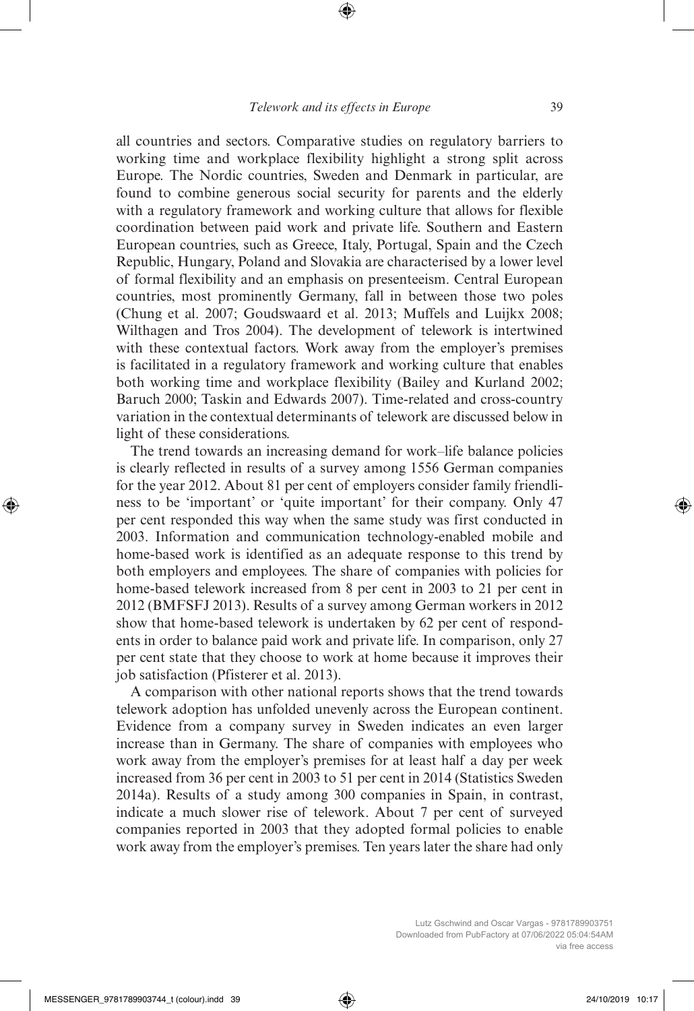all countries and sectors. Comparative studies on regulatory barriers to working time and workplace flexibility highlight a strong split across Europe. The Nordic countries, Sweden and Denmark in particular, are found to combine generous social security for parents and the elderly with a regulatory framework and working culture that allows for flexible coordination between paid work and private life. Southern and Eastern European countries, such as Greece, Italy, Portugal, Spain and the Czech Republic, Hungary, Poland and Slovakia are characterised by a lower level of formal flexibility and an emphasis on presenteeism. Central European countries, most prominently Germany, fall in between those two poles (Chung et al. 2007; Goudswaard et al. 2013; Muffels and Luijkx 2008; Wilthagen and Tros 2004). The development of telework is intertwined with these contextual factors. Work away from the employer's premises is facilitated in a regulatory framework and working culture that enables both working time and workplace flexibility (Bailey and Kurland 2002; Baruch 2000; Taskin and Edwards 2007). Time-related and cross-country variation in the contextual determinants of telework are discussed below in light of these considerations.

The trend towards an increasing demand for work–life balance policies is clearly reflected in results of a survey among 1556 German companies for the year 2012. About 81 per cent of employers consider family friendliness to be 'important' or 'quite important' for their company. Only 47 per cent responded this way when the same study was first conducted in 2003. Information and communication technology-enabled mobile and home-based work is identified as an adequate response to this trend by both employers and employees. The share of companies with policies for home-based telework increased from 8 per cent in 2003 to 21 per cent in 2012 (BMFSFJ 2013). Results of a survey among German workers in 2012 show that home-based telework is undertaken by 62 per cent of respondents in order to balance paid work and private life. In comparison, only 27 per cent state that they choose to work at home because it improves their job satisfaction (Pfisterer et al. 2013).

A comparison with other national reports shows that the trend towards telework adoption has unfolded unevenly across the European continent. Evidence from a company survey in Sweden indicates an even larger increase than in Germany. The share of companies with employees who work away from the employer's premises for at least half a day per week increased from 36 per cent in 2003 to 51 per cent in 2014 (Statistics Sweden 2014a). Results of a study among 300 companies in Spain, in contrast, indicate a much slower rise of telework. About 7 per cent of surveyed companies reported in 2003 that they adopted formal policies to enable work away from the employer's premises. Ten years later the share had only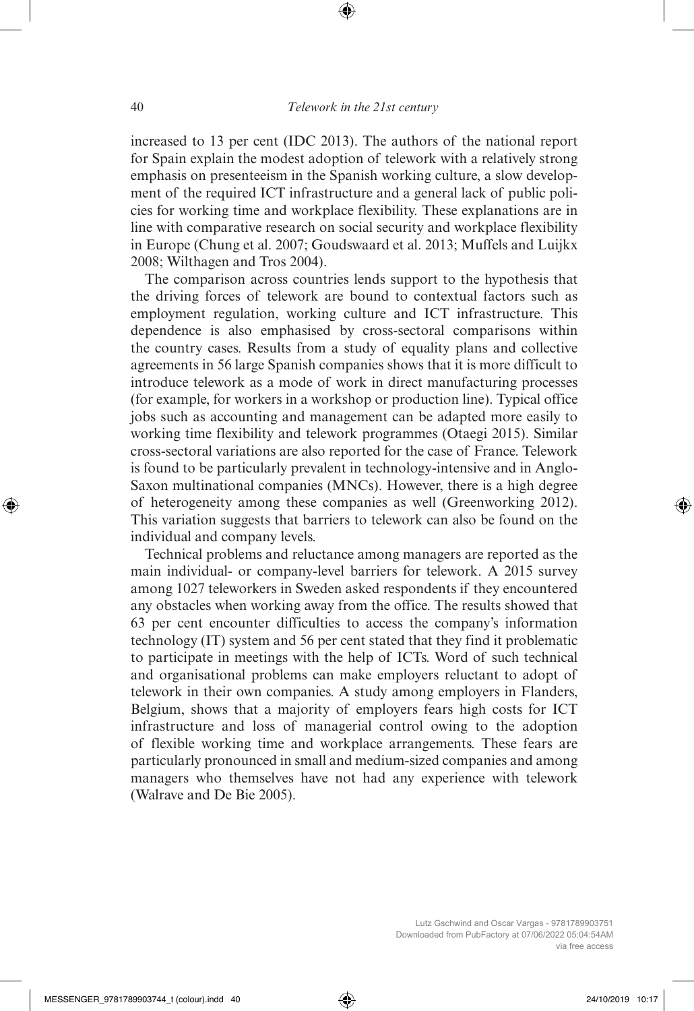increased to 13 per cent (IDC 2013). The authors of the national report for Spain explain the modest adoption of telework with a relatively strong emphasis on presenteeism in the Spanish working culture, a slow development of the required ICT infrastructure and a general lack of public policies for working time and workplace flexibility. These explanations are in line with comparative research on social security and workplace flexibility in Europe (Chung et al. 2007; Goudswaard et al. 2013; Muffels and Luijkx 2008; Wilthagen and Tros 2004).

The comparison across countries lends support to the hypothesis that the driving forces of telework are bound to contextual factors such as employment regulation, working culture and ICT infrastructure. This dependence is also emphasised by cross-sectoral comparisons within the country cases. Results from a study of equality plans and collective agreements in 56 large Spanish companies shows that it is more difficult to introduce telework as a mode of work in direct manufacturing processes (for example, for workers in a workshop or production line). Typical office jobs such as accounting and management can be adapted more easily to working time flexibility and telework programmes (Otaegi 2015). Similar cross-sectoral variations are also reported for the case of France. Telework is found to be particularly prevalent in technology-intensive and in Anglo-Saxon multinational companies (MNCs). However, there is a high degree of heterogeneity among these companies as well (Greenworking 2012). This variation suggests that barriers to telework can also be found on the individual and company levels.

Technical problems and reluctance among managers are reported as the main individual- or company-level barriers for telework. A 2015 survey among 1027 teleworkers in Sweden asked respondents if they encountered any obstacles when working away from the office. The results showed that 63 per cent encounter difficulties to access the company's information technology (IT) system and 56 per cent stated that they find it problematic to participate in meetings with the help of ICTs. Word of such technical and organisational problems can make employers reluctant to adopt of telework in their own companies. A study among employers in Flanders, Belgium, shows that a majority of employers fears high costs for ICT infrastructure and loss of managerial control owing to the adoption of flexible working time and workplace arrangements. These fears are particularly pronounced in small and medium-sized companies and among managers who themselves have not had any experience with telework (Walrave and De Bie 2005).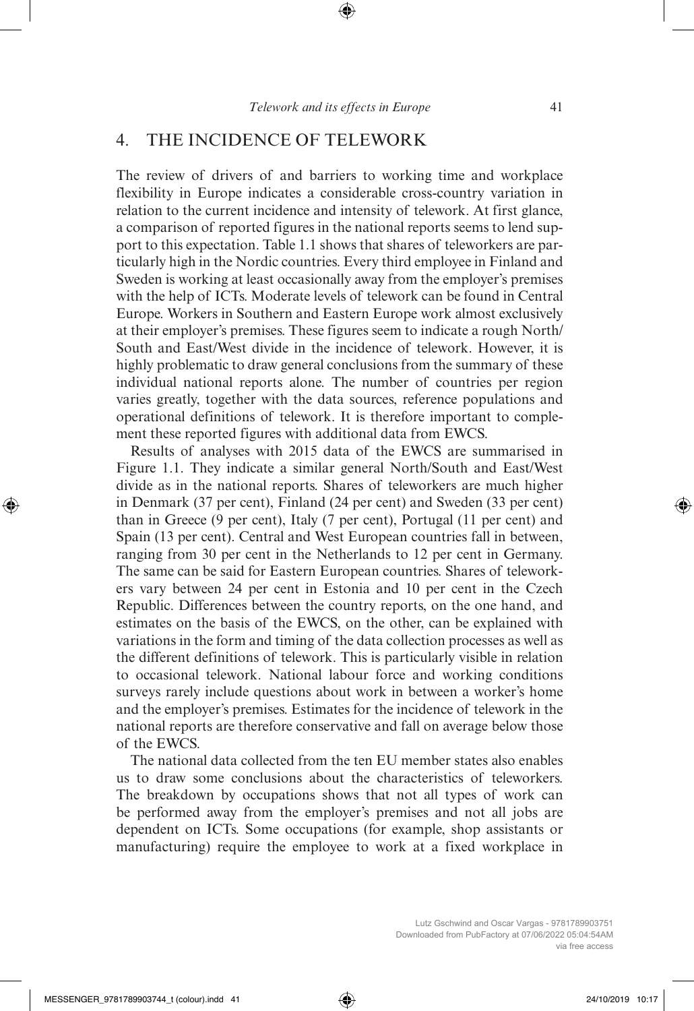# 4. THE INCIDENCE OF TELEWORK

The review of drivers of and barriers to working time and workplace flexibility in Europe indicates a considerable cross-country variation in relation to the current incidence and intensity of telework. At first glance, a comparison of reported figures in the national reports seems to lend support to this expectation. Table 1.1 shows that shares of teleworkers are particularly high in the Nordic countries. Every third employee in Finland and Sweden is working at least occasionally away from the employer's premises with the help of ICTs. Moderate levels of telework can be found in Central Europe. Workers in Southern and Eastern Europe work almost exclusively at their employer's premises. These figures seem to indicate a rough North/ South and East/West divide in the incidence of telework. However, it is highly problematic to draw general conclusions from the summary of these individual national reports alone. The number of countries per region varies greatly, together with the data sources, reference populations and operational definitions of telework. It is therefore important to complement these reported figures with additional data from EWCS.

Results of analyses with 2015 data of the EWCS are summarised in Figure 1.1. They indicate a similar general North/South and East/West divide as in the national reports. Shares of teleworkers are much higher in Denmark (37 per cent), Finland (24 per cent) and Sweden (33 per cent) than in Greece (9 per cent), Italy (7 per cent), Portugal (11 per cent) and Spain (13 per cent). Central and West European countries fall in between, ranging from 30 per cent in the Netherlands to 12 per cent in Germany. The same can be said for Eastern European countries. Shares of teleworkers vary between 24 per cent in Estonia and 10 per cent in the Czech Republic. Differences between the country reports, on the one hand, and estimates on the basis of the EWCS, on the other, can be explained with variations in the form and timing of the data collection processes as well as the different definitions of telework. This is particularly visible in relation to occasional telework. National labour force and working conditions surveys rarely include questions about work in between a worker's home and the employer's premises. Estimates for the incidence of telework in the national reports are therefore conservative and fall on average below those of the EWCS.

The national data collected from the ten EU member states also enables us to draw some conclusions about the characteristics of teleworkers. The breakdown by occupations shows that not all types of work can be performed away from the employer's premises and not all jobs are dependent on ICTs. Some occupations (for example, shop assistants or manufacturing) require the employee to work at a fixed workplace in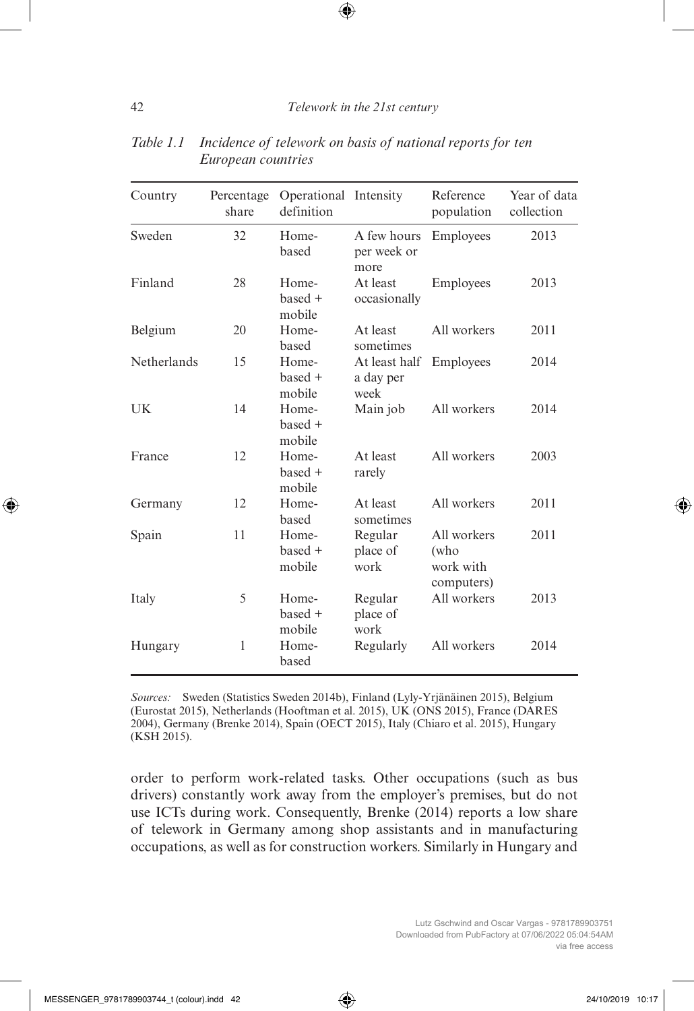| Country     | Percentage<br>share | Operational Intensity<br>definition |                                    | Reference<br>population                        | Year of data<br>collection |
|-------------|---------------------|-------------------------------------|------------------------------------|------------------------------------------------|----------------------------|
| Sweden      | 32                  | Home-<br>based                      | A few hours<br>per week or<br>more | Employees                                      | 2013                       |
| Finland     | 28                  | Home-<br>$based +$<br>mobile        | At least<br>occasionally           | Employees                                      | 2013                       |
| Belgium     | 20                  | Home-<br>based                      | At least<br>sometimes              | All workers                                    | 2011                       |
| Netherlands | 15                  | Home-<br>$based +$<br>mobile        | At least half<br>a day per<br>week | Employees                                      | 2014                       |
| UK          | 14                  | Home-<br>$based +$<br>mobile        | Main job                           | All workers                                    | 2014                       |
| France      | 12                  | Home-<br>$based +$<br>mobile        | At least<br>rarely                 | All workers                                    | 2003                       |
| Germany     | 12                  | Home-<br>based                      | At least<br>sometimes              | All workers                                    | 2011                       |
| Spain       | 11                  | Home-<br>$based +$<br>mobile        | Regular<br>place of<br>work        | All workers<br>(who<br>work with<br>computers) | 2011                       |
| Italy       | 5                   | Home-<br>$based +$<br>mobile        | Regular<br>place of<br>work        | All workers                                    | 2013                       |
| Hungary     | 1                   | Home-<br>based                      | Regularly                          | All workers                                    | 2014                       |

*Table 1.1 Incidence of telework on basis of national reports for ten European countries*

*Sources:* Sweden (Statistics Sweden 2014b), Finland (Lyly-Yrjänäinen 2015), Belgium (Eurostat 2015), Netherlands (Hooftman et al. 2015), UK (ONS 2015), France (DARES 2004), Germany (Brenke 2014), Spain (OECT 2015), Italy (Chiaro et al. 2015), Hungary (KSH 2015).

order to perform work-related tasks. Other occupations (such as bus drivers) constantly work away from the employer's premises, but do not use ICTs during work. Consequently, Brenke (2014) reports a low share of telework in Germany among shop assistants and in manufacturing occupations, as well as for construction workers. Similarly in Hungary and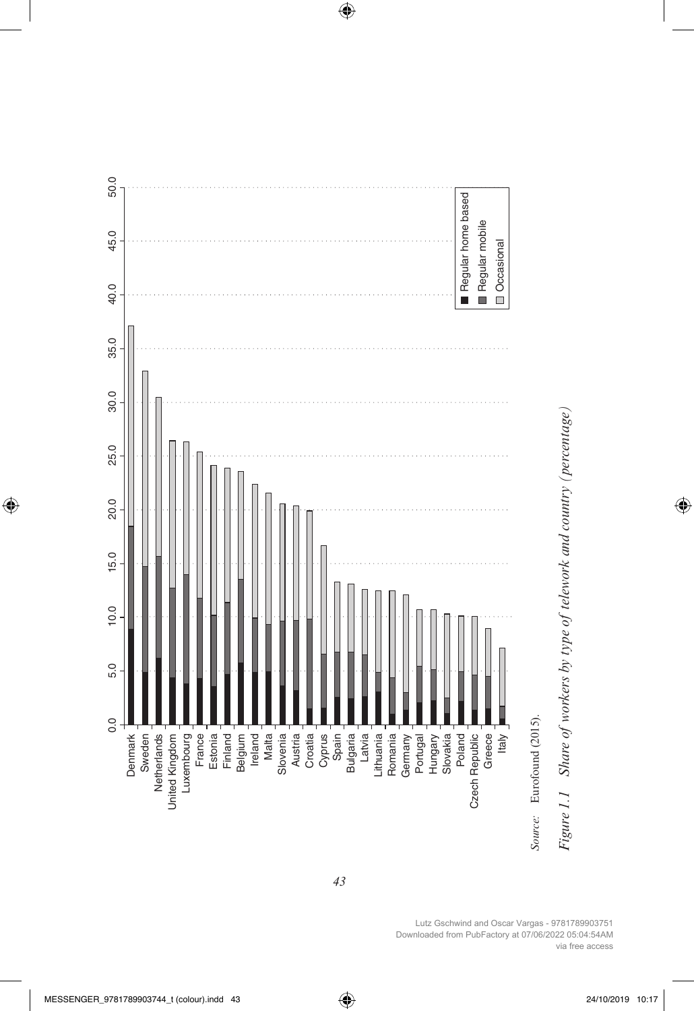



Lutz Gschwind and Oscar Vargas - 9781789903751 Downloaded from PubFactory at 07/06/2022 05:04:54AM via free access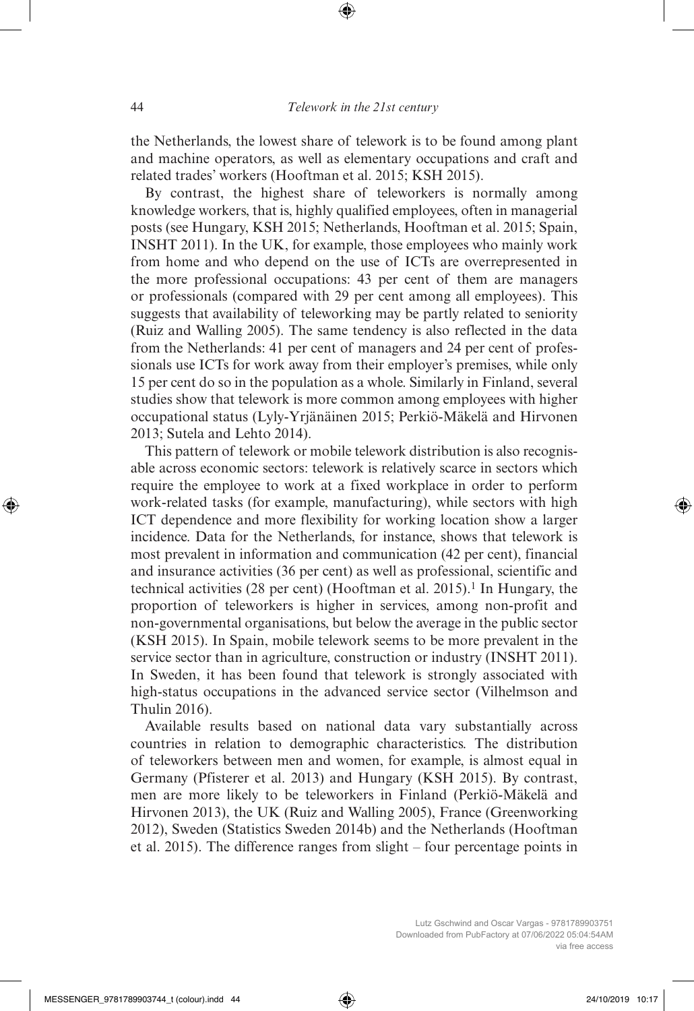the Netherlands, the lowest share of telework is to be found among plant and machine operators, as well as elementary occupations and craft and related trades' workers (Hooftman et al. 2015; KSH 2015).

By contrast, the highest share of teleworkers is normally among knowledge workers, that is, highly qualified employees, often in managerial posts (see Hungary, KSH 2015; Netherlands, Hooftman et al. 2015; Spain, INSHT 2011). In the UK, for example, those employees who mainly work from home and who depend on the use of ICTs are overrepresented in the more professional occupations: 43 per cent of them are managers or professionals (compared with 29 per cent among all employees). This suggests that availability of teleworking may be partly related to seniority (Ruiz and Walling 2005). The same tendency is also reflected in the data from the Netherlands: 41 per cent of managers and 24 per cent of professionals use ICTs for work away from their employer's premises, while only 15 per cent do so in the population as a whole. Similarly in Finland, several studies show that telework is more common among employees with higher occupational status (Lyly-Yrjänäinen 2015; Perkiö-Mäkelä and Hirvonen 2013; Sutela and Lehto 2014).

This pattern of telework or mobile telework distribution is also recognisable across economic sectors: telework is relatively scarce in sectors which require the employee to work at a fixed workplace in order to perform work-related tasks (for example, manufacturing), while sectors with high ICT dependence and more flexibility for working location show a larger incidence. Data for the Netherlands, for instance, shows that telework is most prevalent in information and communication (42 per cent), financial and insurance activities (36 per cent) as well as professional, scientific and technical activities (28 per cent) (Hooftman et al. 2015).<sup>1</sup> In Hungary, the proportion of teleworkers is higher in services, among non-profit and non-governmental organisations, but below the average in the public sector (KSH 2015). In Spain, mobile telework seems to be more prevalent in the service sector than in agriculture, construction or industry (INSHT 2011). In Sweden, it has been found that telework is strongly associated with high-status occupations in the advanced service sector (Vilhelmson and Thulin 2016).

Available results based on national data vary substantially across countries in relation to demographic characteristics. The distribution of teleworkers between men and women, for example, is almost equal in Germany (Pfisterer et al. 2013) and Hungary (KSH 2015). By contrast, men are more likely to be teleworkers in Finland (Perkiö-Mäkelä and Hirvonen 2013), the UK (Ruiz and Walling 2005), France (Greenworking 2012), Sweden (Statistics Sweden 2014b) and the Netherlands (Hooftman et al. 2015). The difference ranges from slight – four percentage points in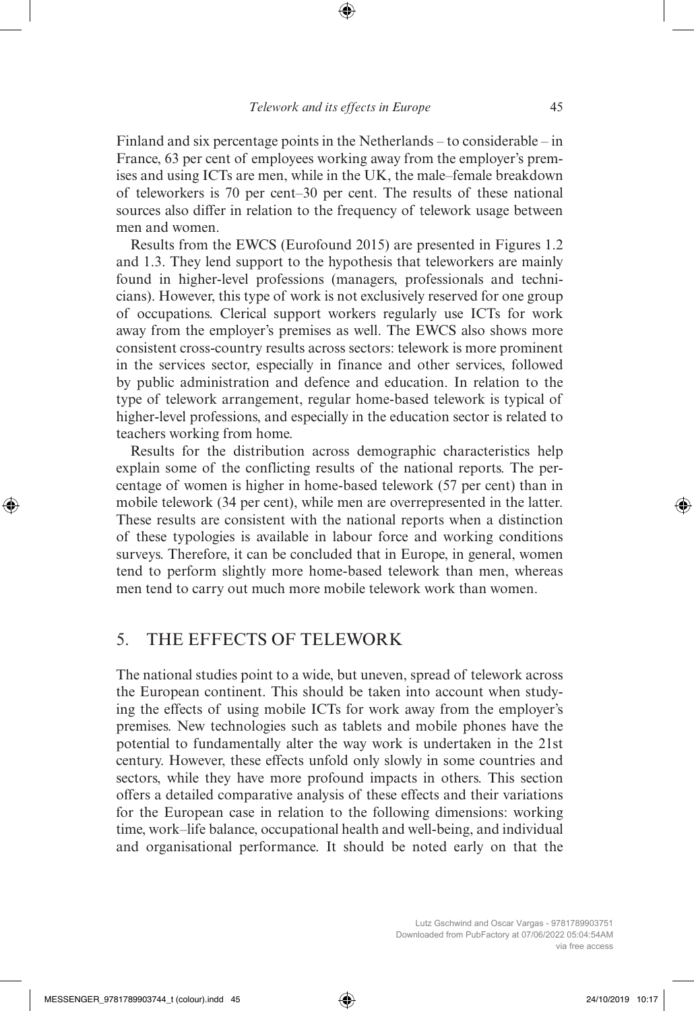Finland and six percentage points in the Netherlands – to considerable – in France, 63 per cent of employees working away from the employer's premises and using ICTs are men, while in the UK, the male–female breakdown of teleworkers is 70 per cent–30 per cent. The results of these national sources also differ in relation to the frequency of telework usage between men and women.

Results from the EWCS (Eurofound 2015) are presented in Figures 1.2 and 1.3. They lend support to the hypothesis that teleworkers are mainly found in higher-level professions (managers, professionals and technicians). However, this type of work is not exclusively reserved for one group of occupations. Clerical support workers regularly use ICTs for work away from the employer's premises as well. The EWCS also shows more consistent cross-country results across sectors: telework is more prominent in the services sector, especially in finance and other services, followed by public administration and defence and education. In relation to the type of telework arrangement, regular home-based telework is typical of higher-level professions, and especially in the education sector is related to teachers working from home.

Results for the distribution across demographic characteristics help explain some of the conflicting results of the national reports. The percentage of women is higher in home-based telework (57 per cent) than in mobile telework (34 per cent), while men are overrepresented in the latter. These results are consistent with the national reports when a distinction of these typologies is available in labour force and working conditions surveys. Therefore, it can be concluded that in Europe, in general, women tend to perform slightly more home-based telework than men, whereas men tend to carry out much more mobile telework work than women.

# 5. THE EFFECTS OF TELEWORK

The national studies point to a wide, but uneven, spread of telework across the European continent. This should be taken into account when studying the effects of using mobile ICTs for work away from the employer's premises. New technologies such as tablets and mobile phones have the potential to fundamentally alter the way work is undertaken in the 21st century. However, these effects unfold only slowly in some countries and sectors, while they have more profound impacts in others. This section offers a detailed comparative analysis of these effects and their variations for the European case in relation to the following dimensions: working time, work–life balance, occupational health and well-being, and individual and organisational performance. It should be noted early on that the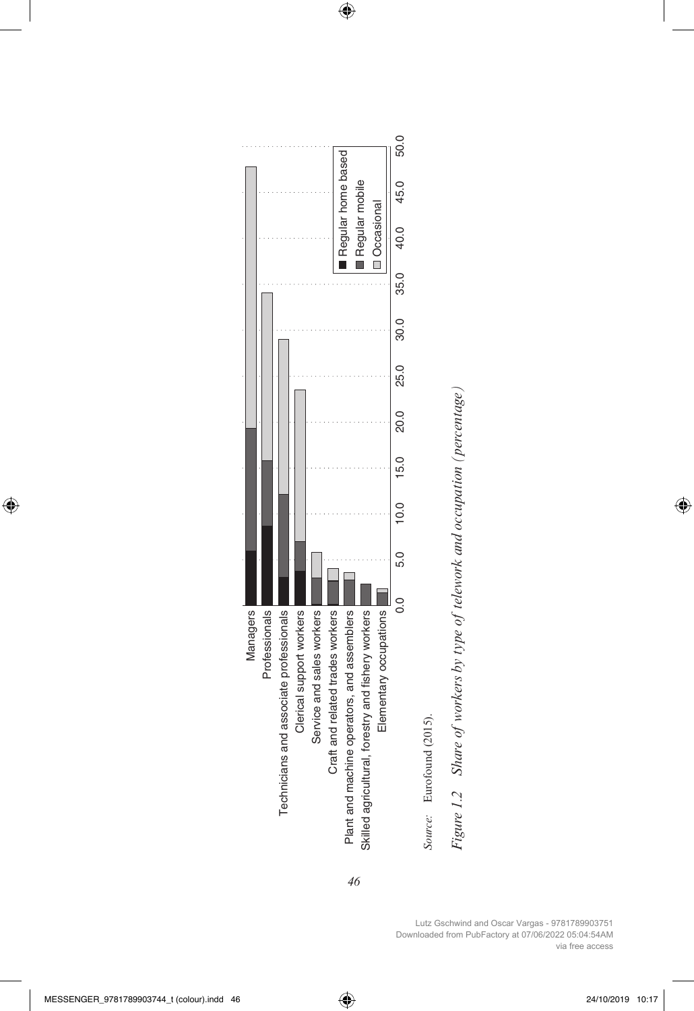

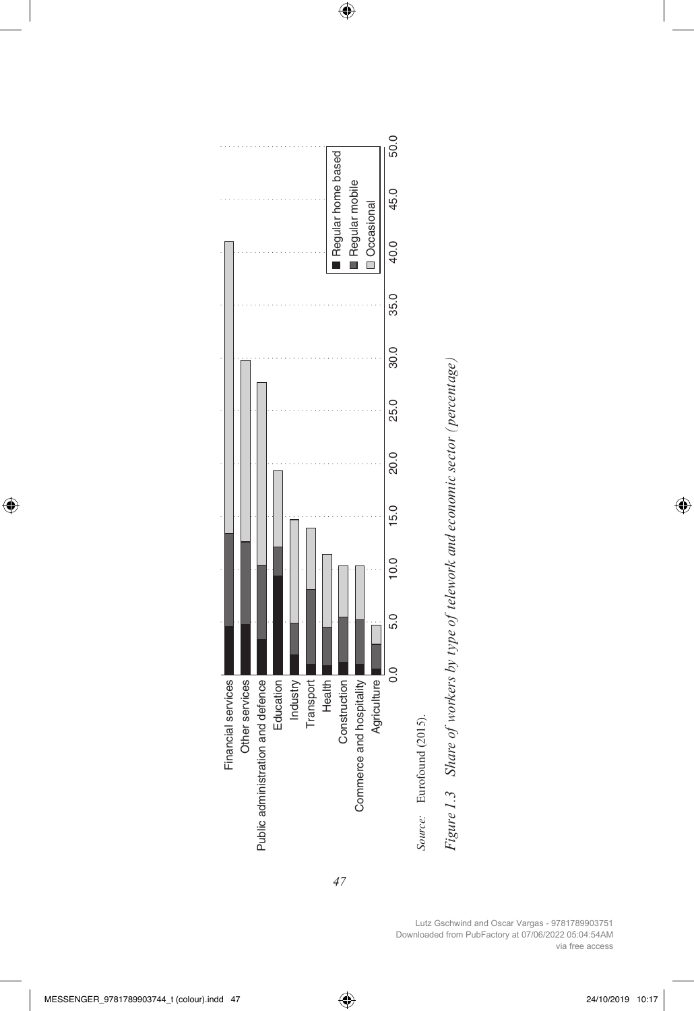

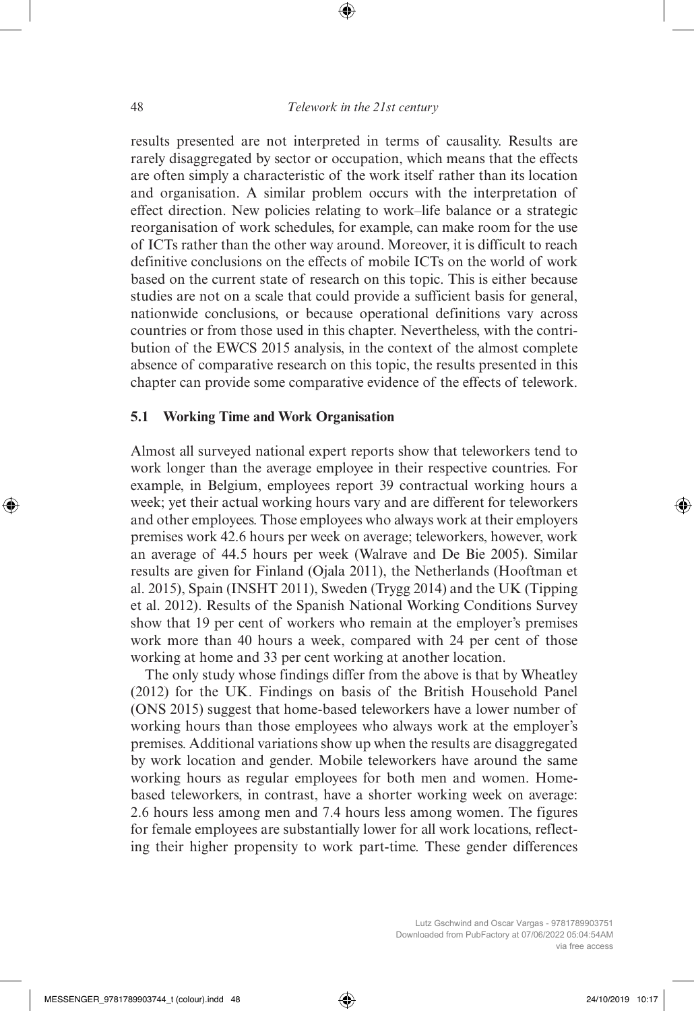results presented are not interpreted in terms of causality. Results are rarely disaggregated by sector or occupation, which means that the effects are often simply a characteristic of the work itself rather than its location and organisation. A similar problem occurs with the interpretation of effect direction. New policies relating to work–life balance or a strategic reorganisation of work schedules, for example, can make room for the use of ICTs rather than the other way around. Moreover, it is difficult to reach definitive conclusions on the effects of mobile ICTs on the world of work based on the current state of research on this topic. This is either because studies are not on a scale that could provide a sufficient basis for general, nationwide conclusions, or because operational definitions vary across countries or from those used in this chapter. Nevertheless, with the contribution of the EWCS 2015 analysis, in the context of the almost complete absence of comparative research on this topic, the results presented in this chapter can provide some comparative evidence of the effects of telework.

#### **5.1 Working Time and Work Organisation**

Almost all surveyed national expert reports show that teleworkers tend to work longer than the average employee in their respective countries. For example, in Belgium, employees report 39 contractual working hours a week; yet their actual working hours vary and are different for teleworkers and other employees. Those employees who always work at their employers premises work 42.6 hours per week on average; teleworkers, however, work an average of 44.5 hours per week (Walrave and De Bie 2005). Similar results are given for Finland (Ojala 2011), the Netherlands (Hooftman et al. 2015), Spain (INSHT 2011), Sweden (Trygg 2014) and the UK (Tipping et al. 2012). Results of the Spanish National Working Conditions Survey show that 19 per cent of workers who remain at the employer's premises work more than 40 hours a week, compared with 24 per cent of those working at home and 33 per cent working at another location.

The only study whose findings differ from the above is that by Wheatley (2012) for the UK. Findings on basis of the British Household Panel (ONS 2015) suggest that home-based teleworkers have a lower number of working hours than those employees who always work at the employer's premises. Additional variations show up when the results are disaggregated by work location and gender. Mobile teleworkers have around the same working hours as regular employees for both men and women. Homebased teleworkers, in contrast, have a shorter working week on average: 2.6 hours less among men and 7.4 hours less among women. The figures for female employees are substantially lower for all work locations, reflecting their higher propensity to work part-time. These gender differences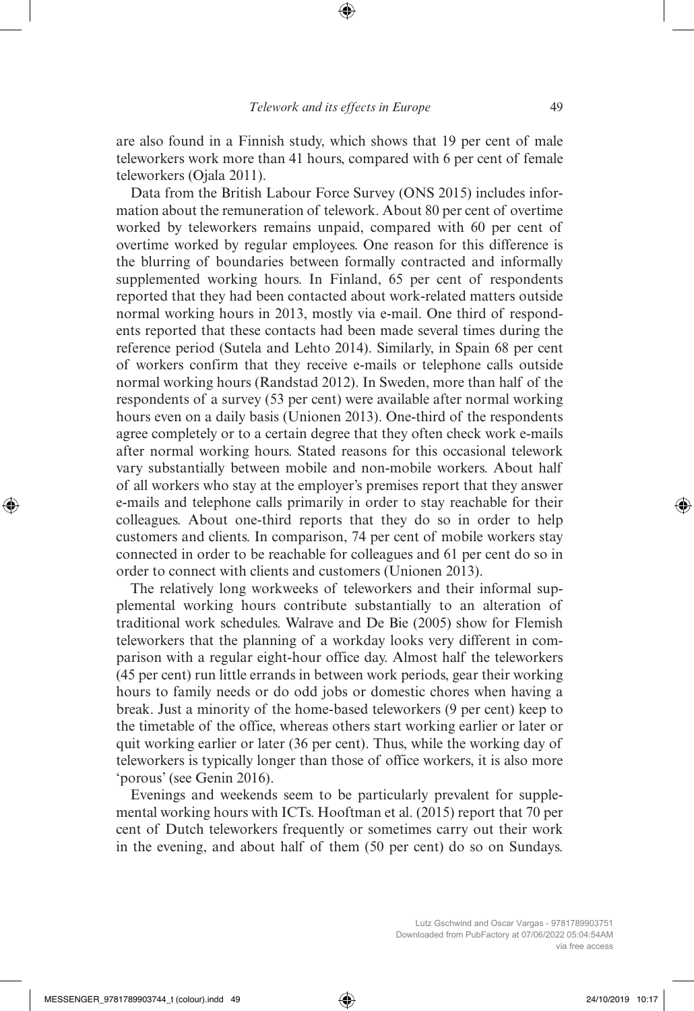are also found in a Finnish study, which shows that 19 per cent of male teleworkers work more than 41 hours, compared with 6 per cent of female teleworkers (Ojala 2011).

Data from the British Labour Force Survey (ONS 2015) includes information about the remuneration of telework. About 80 per cent of overtime worked by teleworkers remains unpaid, compared with 60 per cent of overtime worked by regular employees. One reason for this difference is the blurring of boundaries between formally contracted and informally supplemented working hours. In Finland, 65 per cent of respondents reported that they had been contacted about work-related matters outside normal working hours in 2013, mostly via e-mail. One third of respondents reported that these contacts had been made several times during the reference period (Sutela and Lehto 2014). Similarly, in Spain 68 per cent of workers confirm that they receive e-mails or telephone calls outside normal working hours (Randstad 2012). In Sweden, more than half of the respondents of a survey (53 per cent) were available after normal working hours even on a daily basis (Unionen 2013). One-third of the respondents agree completely or to a certain degree that they often check work e-mails after normal working hours. Stated reasons for this occasional telework vary substantially between mobile and non-mobile workers. About half of all workers who stay at the employer's premises report that they answer e-mails and telephone calls primarily in order to stay reachable for their colleagues. About one-third reports that they do so in order to help customers and clients. In comparison, 74 per cent of mobile workers stay connected in order to be reachable for colleagues and 61 per cent do so in order to connect with clients and customers (Unionen 2013).

The relatively long workweeks of teleworkers and their informal supplemental working hours contribute substantially to an alteration of traditional work schedules. Walrave and De Bie (2005) show for Flemish teleworkers that the planning of a workday looks very different in comparison with a regular eight-hour office day. Almost half the teleworkers (45 per cent) run little errands in between work periods, gear their working hours to family needs or do odd jobs or domestic chores when having a break. Just a minority of the home-based teleworkers (9 per cent) keep to the timetable of the office, whereas others start working earlier or later or quit working earlier or later (36 per cent). Thus, while the working day of teleworkers is typically longer than those of office workers, it is also more 'porous' (see Genin 2016).

Evenings and weekends seem to be particularly prevalent for supplemental working hours with ICTs. Hooftman et al. (2015) report that 70 per cent of Dutch teleworkers frequently or sometimes carry out their work in the evening, and about half of them (50 per cent) do so on Sundays.

via free access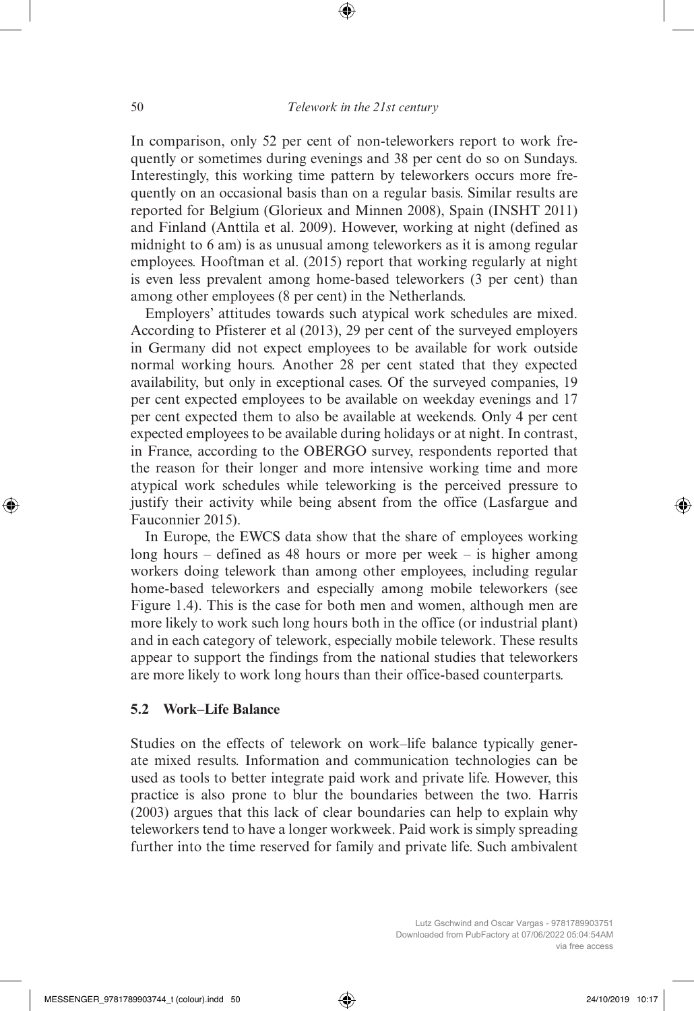In comparison, only 52 per cent of non-teleworkers report to work frequently or sometimes during evenings and 38 per cent do so on Sundays. Interestingly, this working time pattern by teleworkers occurs more frequently on an occasional basis than on a regular basis. Similar results are reported for Belgium (Glorieux and Minnen 2008), Spain (INSHT 2011) and Finland (Anttila et al. 2009). However, working at night (defined as midnight to 6 am) is as unusual among teleworkers as it is among regular employees. Hooftman et al. (2015) report that working regularly at night is even less prevalent among home-based teleworkers (3 per cent) than among other employees (8 per cent) in the Netherlands.

Employers' attitudes towards such atypical work schedules are mixed. According to Pfisterer et al (2013), 29 per cent of the surveyed employers in Germany did not expect employees to be available for work outside normal working hours. Another 28 per cent stated that they expected availability, but only in exceptional cases. Of the surveyed companies, 19 per cent expected employees to be available on weekday evenings and 17 per cent expected them to also be available at weekends. Only 4 per cent expected employees to be available during holidays or at night. In contrast, in France, according to the OBERGO survey, respondents reported that the reason for their longer and more intensive working time and more atypical work schedules while teleworking is the perceived pressure to justify their activity while being absent from the office (Lasfargue and Fauconnier 2015).

In Europe, the EWCS data show that the share of employees working long hours – defined as 48 hours or more per week – is higher among workers doing telework than among other employees, including regular home-based teleworkers and especially among mobile teleworkers (see Figure 1.4). This is the case for both men and women, although men are more likely to work such long hours both in the office (or industrial plant) and in each category of telework, especially mobile telework. These results appear to support the findings from the national studies that teleworkers are more likely to work long hours than their office-based counterparts.

#### **5.2 Work–Life Balance**

Studies on the effects of telework on work–life balance typically generate mixed results. Information and communication technologies can be used as tools to better integrate paid work and private life. However, this practice is also prone to blur the boundaries between the two. Harris (2003) argues that this lack of clear boundaries can help to explain why teleworkers tend to have a longer workweek. Paid work is simply spreading further into the time reserved for family and private life. Such ambivalent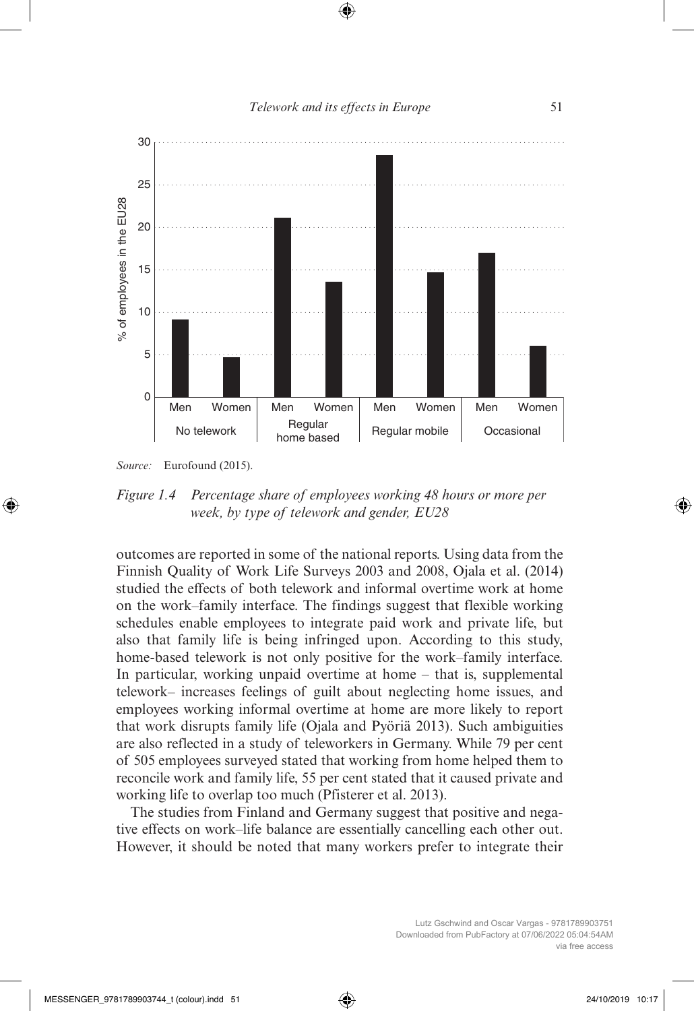

*Source:* Eurofound (2015).

*Figure 1.4 Percentage share of employees working 48 hours or more per week, by type of telework and gender, EU28*

outcomes are reported in some of the national reports. Using data from the Finnish Quality of Work Life Surveys 2003 and 2008, Ojala et al. (2014) studied the effects of both telework and informal overtime work at home on the work–family interface. The findings suggest that flexible working schedules enable employees to integrate paid work and private life, but also that family life is being infringed upon. According to this study, home-based telework is not only positive for the work–family interface. In particular, working unpaid overtime at home – that is, supplemental telework– increases feelings of guilt about neglecting home issues, and employees working informal overtime at home are more likely to report that work disrupts family life (Ojala and Pyöriä 2013). Such ambiguities are also reflected in a study of teleworkers in Germany. While 79 per cent of 505 employees surveyed stated that working from home helped them to reconcile work and family life, 55 per cent stated that it caused private and working life to overlap too much (Pfisterer et al. 2013).

The studies from Finland and Germany suggest that positive and negative effects on work–life balance are essentially cancelling each other out. However, it should be noted that many workers prefer to integrate their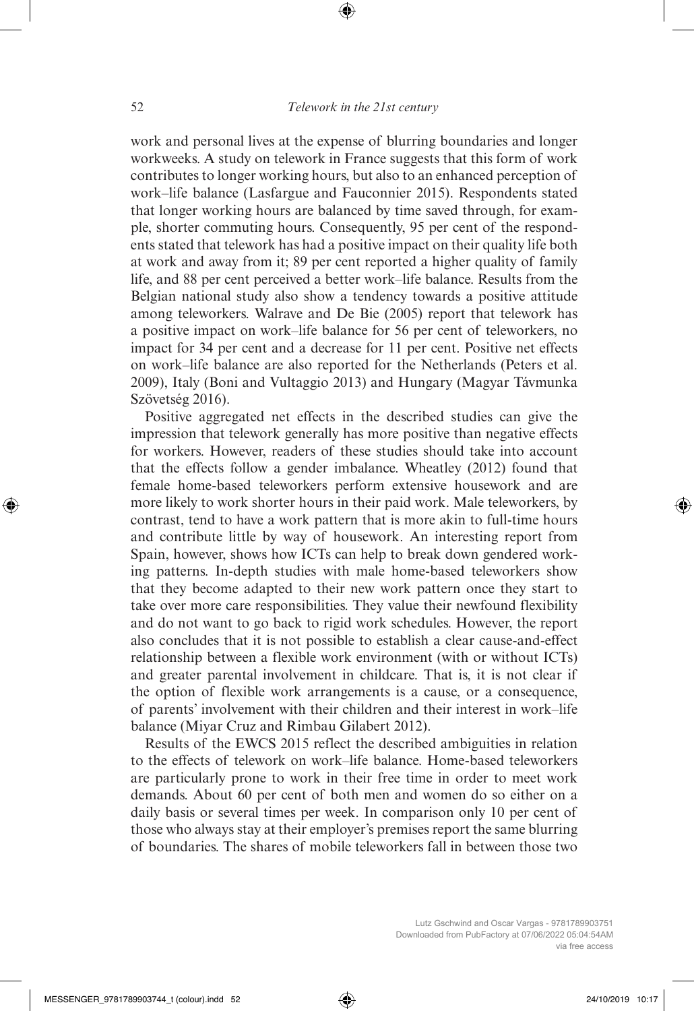work and personal lives at the expense of blurring boundaries and longer workweeks. A study on telework in France suggests that this form of work contributes to longer working hours, but also to an enhanced perception of work–life balance (Lasfargue and Fauconnier 2015). Respondents stated that longer working hours are balanced by time saved through, for example, shorter commuting hours. Consequently, 95 per cent of the respondents stated that telework has had a positive impact on their quality life both at work and away from it; 89 per cent reported a higher quality of family life, and 88 per cent perceived a better work–life balance. Results from the Belgian national study also show a tendency towards a positive attitude among teleworkers. Walrave and De Bie (2005) report that telework has a positive impact on work–life balance for 56 per cent of teleworkers, no impact for 34 per cent and a decrease for 11 per cent. Positive net effects on work–life balance are also reported for the Netherlands (Peters et al. 2009), Italy (Boni and Vultaggio 2013) and Hungary (Magyar Távmunka Szövetség 2016).

Positive aggregated net effects in the described studies can give the impression that telework generally has more positive than negative effects for workers. However, readers of these studies should take into account that the effects follow a gender imbalance. Wheatley (2012) found that female home-based teleworkers perform extensive housework and are more likely to work shorter hours in their paid work. Male teleworkers, by contrast, tend to have a work pattern that is more akin to full-time hours and contribute little by way of housework. An interesting report from Spain, however, shows how ICTs can help to break down gendered working patterns. In-depth studies with male home-based teleworkers show that they become adapted to their new work pattern once they start to take over more care responsibilities. They value their newfound flexibility and do not want to go back to rigid work schedules. However, the report also concludes that it is not possible to establish a clear cause-and-effect relationship between a flexible work environment (with or without ICTs) and greater parental involvement in childcare. That is, it is not clear if the option of flexible work arrangements is a cause, or a consequence, of parents' involvement with their children and their interest in work–life balance (Miyar Cruz and Rimbau Gilabert 2012).

Results of the EWCS 2015 reflect the described ambiguities in relation to the effects of telework on work–life balance. Home-based teleworkers are particularly prone to work in their free time in order to meet work demands. About 60 per cent of both men and women do so either on a daily basis or several times per week. In comparison only 10 per cent of those who always stay at their employer's premises report the same blurring of boundaries. The shares of mobile teleworkers fall in between those two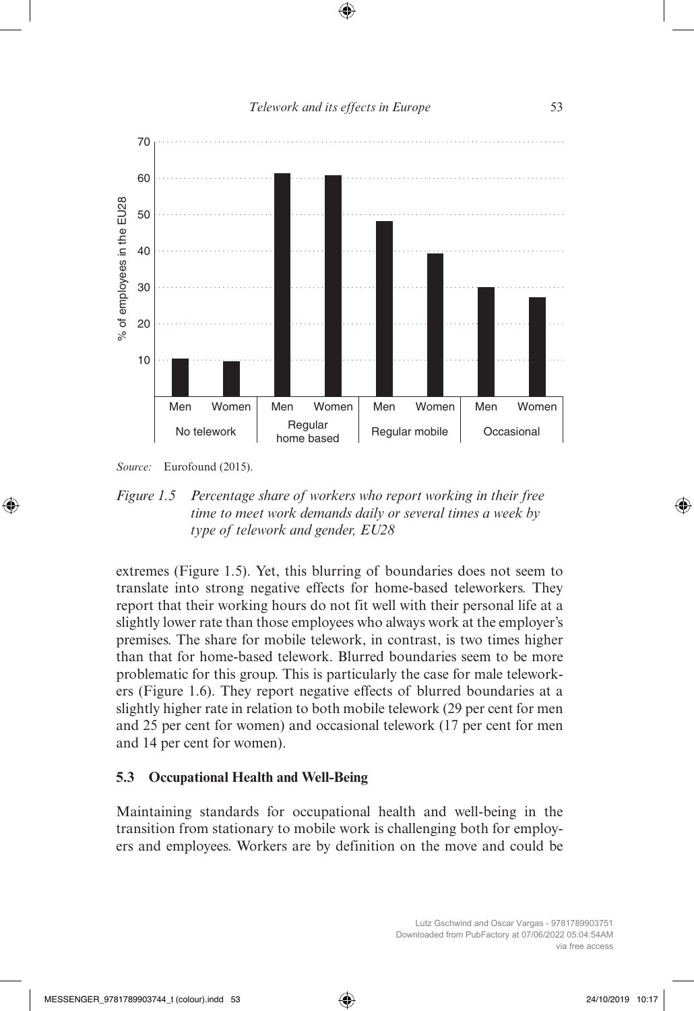

*Source:* Eurofound (2015).

## *Figure 1.5 Percentage share of workers who report working in their free time to meet work demands daily or several times a week by type of telework and gender, EU28*

extremes (Figure 1.5). Yet, this blurring of boundaries does not seem to translate into strong negative effects for home-based teleworkers. They report that their working hours do not fit well with their personal life at a slightly lower rate than those employees who always work at the employer's premises. The share for mobile telework, in contrast, is two times higher than that for home-based telework. Blurred boundaries seem to be more problematic for this group. This is particularly the case for male teleworkers (Figure 1.6). They report negative effects of blurred boundaries at a slightly higher rate in relation to both mobile telework (29 per cent for men and 25 per cent for women) and occasional telework (17 per cent for men and 14 per cent for women).

### **5.3 Occupational Health and Well-Being**

Maintaining standards for occupational health and well-being in the transition from stationary to mobile work is challenging both for employers and employees. Workers are by definition on the move and could be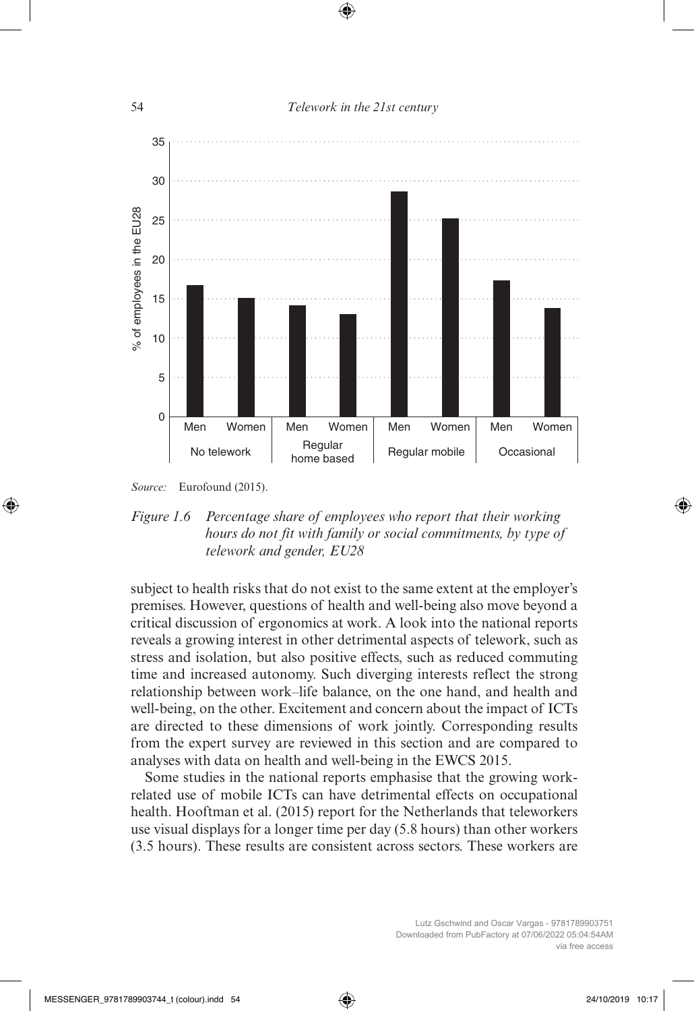

*Source:* Eurofound (2015).

*Figure 1.6 Percentage share of employees who report that their working hours do not fit with family or social commitments, by type of telework and gender, EU28*

subject to health risks that do not exist to the same extent at the employer's premises. However, questions of health and well-being also move beyond a critical discussion of ergonomics at work. A look into the national reports reveals a growing interest in other detrimental aspects of telework, such as stress and isolation, but also positive effects, such as reduced commuting time and increased autonomy. Such diverging interests reflect the strong relationship between work–life balance, on the one hand, and health and well-being, on the other. Excitement and concern about the impact of ICTs are directed to these dimensions of work jointly. Corresponding results from the expert survey are reviewed in this section and are compared to analyses with data on health and well-being in the EWCS 2015.

Some studies in the national reports emphasise that the growing workrelated use of mobile ICTs can have detrimental effects on occupational health. Hooftman et al. (2015) report for the Netherlands that teleworkers use visual displays for a longer time per day (5.8 hours) than other workers (3.5 hours). These results are consistent across sectors. These workers are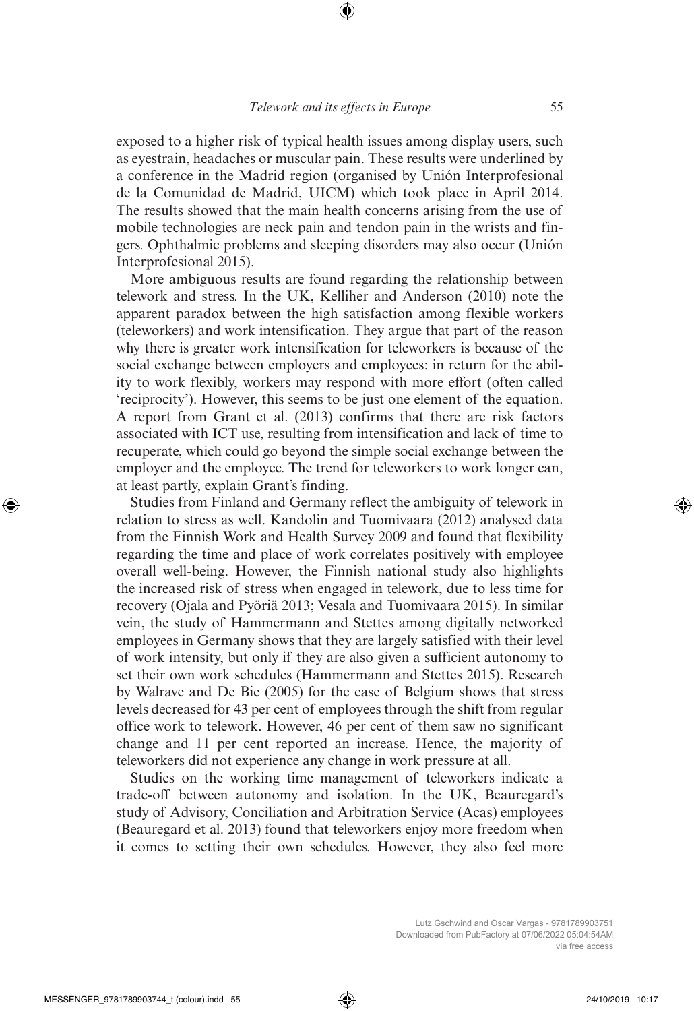exposed to a higher risk of typical health issues among display users, such as eyestrain, headaches or muscular pain. These results were underlined by a conference in the Madrid region (organised by Unión Interprofesional de la Comunidad de Madrid, UICM) which took place in April 2014. The results showed that the main health concerns arising from the use of mobile technologies are neck pain and tendon pain in the wrists and fingers. Ophthalmic problems and sleeping disorders may also occur (Unión Interprofesional 2015).

More ambiguous results are found regarding the relationship between telework and stress. In the UK, Kelliher and Anderson (2010) note the apparent paradox between the high satisfaction among flexible workers (teleworkers) and work intensification. They argue that part of the reason why there is greater work intensification for teleworkers is because of the social exchange between employers and employees: in return for the ability to work flexibly, workers may respond with more effort (often called 'reciprocity'). However, this seems to be just one element of the equation. A report from Grant et al. (2013) confirms that there are risk factors associated with ICT use, resulting from intensification and lack of time to recuperate, which could go beyond the simple social exchange between the employer and the employee. The trend for teleworkers to work longer can, at least partly, explain Grant's finding.

Studies from Finland and Germany reflect the ambiguity of telework in relation to stress as well. Kandolin and Tuomivaara (2012) analysed data from the Finnish Work and Health Survey 2009 and found that flexibility regarding the time and place of work correlates positively with employee overall well-being. However, the Finnish national study also highlights the increased risk of stress when engaged in telework, due to less time for recovery (Ojala and Pyöriä 2013; Vesala and Tuomivaara 2015). In similar vein, the study of Hammermann and Stettes among digitally networked employees in Germany shows that they are largely satisfied with their level of work intensity, but only if they are also given a sufficient autonomy to set their own work schedules (Hammermann and Stettes 2015). Research by Walrave and De Bie (2005) for the case of Belgium shows that stress levels decreased for 43 per cent of employees through the shift from regular office work to telework. However, 46 per cent of them saw no significant change and 11 per cent reported an increase. Hence, the majority of teleworkers did not experience any change in work pressure at all.

Studies on the working time management of teleworkers indicate a trade-off between autonomy and isolation. In the UK, Beauregard's study of Advisory, Conciliation and Arbitration Service (Acas) employees (Beauregard et al. 2013) found that teleworkers enjoy more freedom when it comes to setting their own schedules. However, they also feel more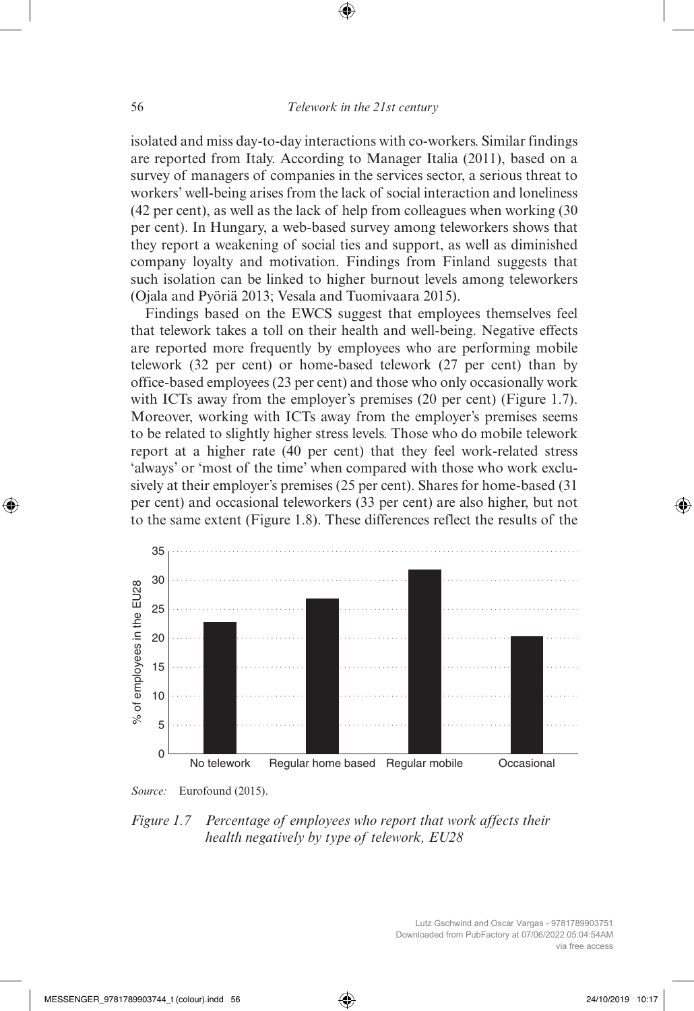isolated and miss day-to-day interactions with co-workers. Similar findings are reported from Italy. According to Manager Italia (2011), based on a survey of managers of companies in the services sector, a serious threat to workers' well-being arises from the lack of social interaction and loneliness (42 per cent), as well as the lack of help from colleagues when working (30 per cent). In Hungary, a web-based survey among teleworkers shows that they report a weakening of social ties and support, as well as diminished company loyalty and motivation. Findings from Finland suggests that such isolation can be linked to higher burnout levels among teleworkers (Ojala and Pyöriä 2013; Vesala and Tuomivaara 2015).

Findings based on the EWCS suggest that employees themselves feel that telework takes a toll on their health and well-being. Negative effects are reported more frequently by employees who are performing mobile telework (32 per cent) or home-based telework (27 per cent) than by office-based employees (23 per cent) and those who only occasionally work with ICTs away from the employer's premises (20 per cent) (Figure 1.7). Moreover, working with ICTs away from the employer's premises seems to be related to slightly higher stress levels. Those who do mobile telework report at a higher rate (40 per cent) that they feel work-related stress 'always' or 'most of the time' when compared with those who work exclusively at their employer's premises (25 per cent). Shares for home-based (31 per cent) and occasional teleworkers (33 per cent) are also higher, but not to the same extent (Figure 1.8). These differences reflect the results of the



*Source:* Eurofound (2015).

*Figure 1.7 Percentage of employees who report that work affects their health negatively by type of telework, EU28*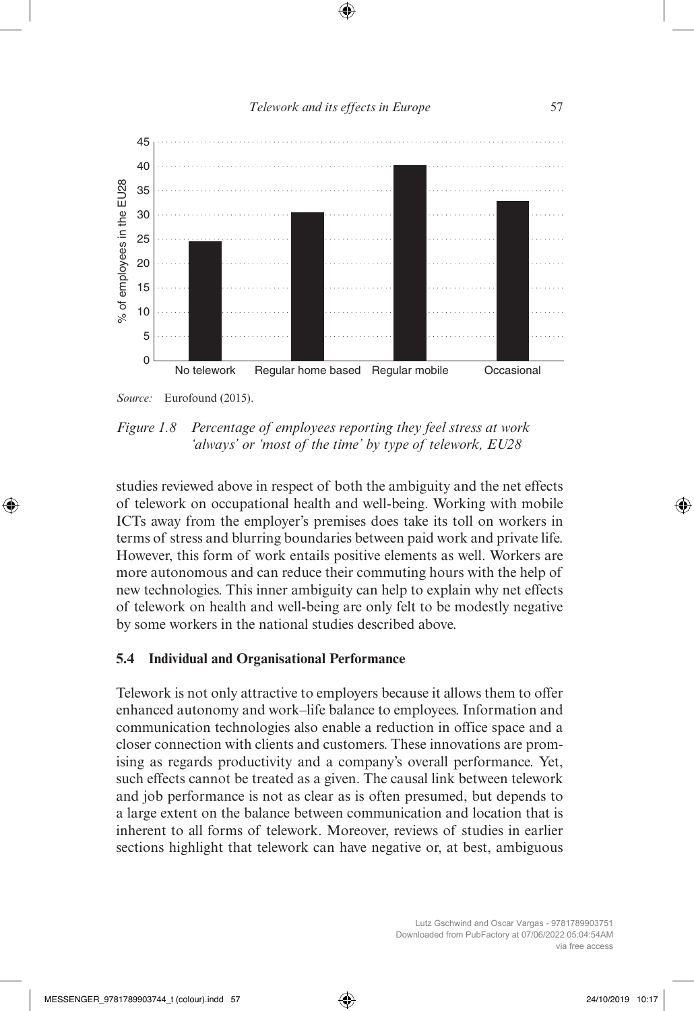

*Source:* Eurofound (2015).

*Figure 1.8 Percentage of employees reporting they feel stress at work 'always' or 'most of the time' by type of telework, EU28*

studies reviewed above in respect of both the ambiguity and the net effects of telework on occupational health and well-being. Working with mobile ICTs away from the employer's premises does take its toll on workers in terms of stress and blurring boundaries between paid work and private life. However, this form of work entails positive elements as well. Workers are more autonomous and can reduce their commuting hours with the help of new technologies. This inner ambiguity can help to explain why net effects of telework on health and well-being are only felt to be modestly negative by some workers in the national studies described above.

#### **5.4 Individual and Organisational Performance**

Telework is not only attractive to employers because it allows them to offer enhanced autonomy and work–life balance to employees. Information and communication technologies also enable a reduction in office space and a closer connection with clients and customers. These innovations are promising as regards productivity and a company's overall performance. Yet, such effects cannot be treated as a given. The causal link between telework and job performance is not as clear as is often presumed, but depends to a large extent on the balance between communication and location that is inherent to all forms of telework. Moreover, reviews of studies in earlier sections highlight that telework can have negative or, at best, ambiguous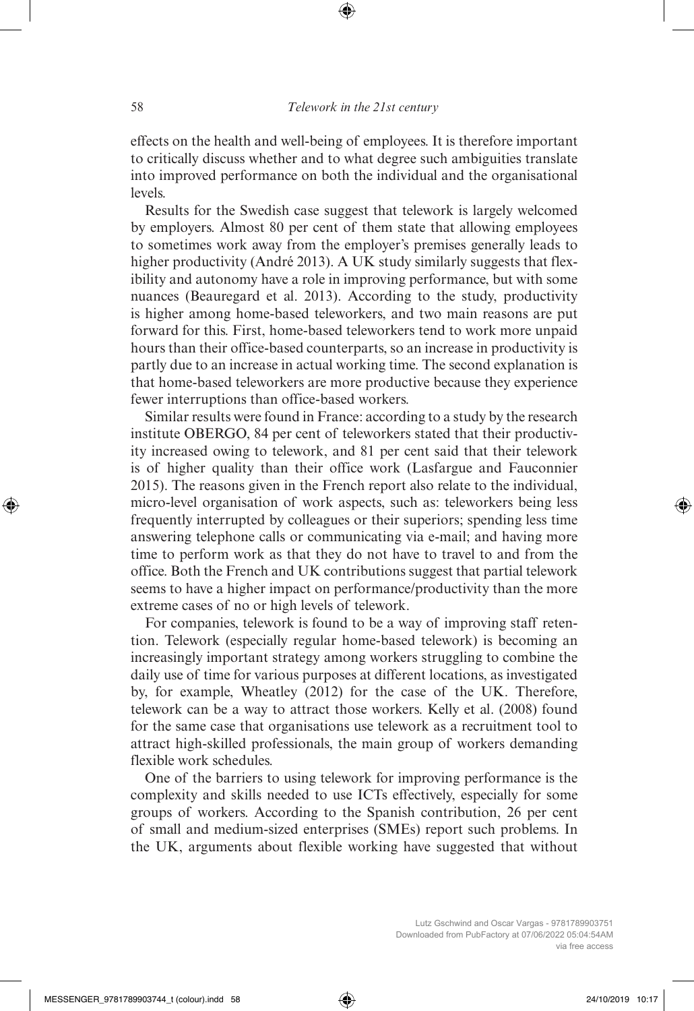effects on the health and well-being of employees. It is therefore important to critically discuss whether and to what degree such ambiguities translate into improved performance on both the individual and the organisational levels.

Results for the Swedish case suggest that telework is largely welcomed by employers. Almost 80 per cent of them state that allowing employees to sometimes work away from the employer's premises generally leads to higher productivity (André 2013). A UK study similarly suggests that flexibility and autonomy have a role in improving performance, but with some nuances (Beauregard et al. 2013). According to the study, productivity is higher among home-based teleworkers, and two main reasons are put forward for this. First, home-based teleworkers tend to work more unpaid hours than their office-based counterparts, so an increase in productivity is partly due to an increase in actual working time. The second explanation is that home-based teleworkers are more productive because they experience fewer interruptions than office-based workers.

Similar results were found in France: according to a study by the research institute OBERGO, 84 per cent of teleworkers stated that their productivity increased owing to telework, and 81 per cent said that their telework is of higher quality than their office work (Lasfargue and Fauconnier 2015). The reasons given in the French report also relate to the individual, micro-level organisation of work aspects, such as: teleworkers being less frequently interrupted by colleagues or their superiors; spending less time answering telephone calls or communicating via e-mail; and having more time to perform work as that they do not have to travel to and from the office. Both the French and UK contributions suggest that partial telework seems to have a higher impact on performance/productivity than the more extreme cases of no or high levels of telework.

For companies, telework is found to be a way of improving staff retention. Telework (especially regular home-based telework) is becoming an increasingly important strategy among workers struggling to combine the daily use of time for various purposes at different locations, as investigated by, for example, Wheatley (2012) for the case of the UK. Therefore, telework can be a way to attract those workers. Kelly et al. (2008) found for the same case that organisations use telework as a recruitment tool to attract high-skilled professionals, the main group of workers demanding flexible work schedules.

One of the barriers to using telework for improving performance is the complexity and skills needed to use ICTs effectively, especially for some groups of workers. According to the Spanish contribution, 26 per cent of small and medium-sized enterprises (SMEs) report such problems. In the UK, arguments about flexible working have suggested that without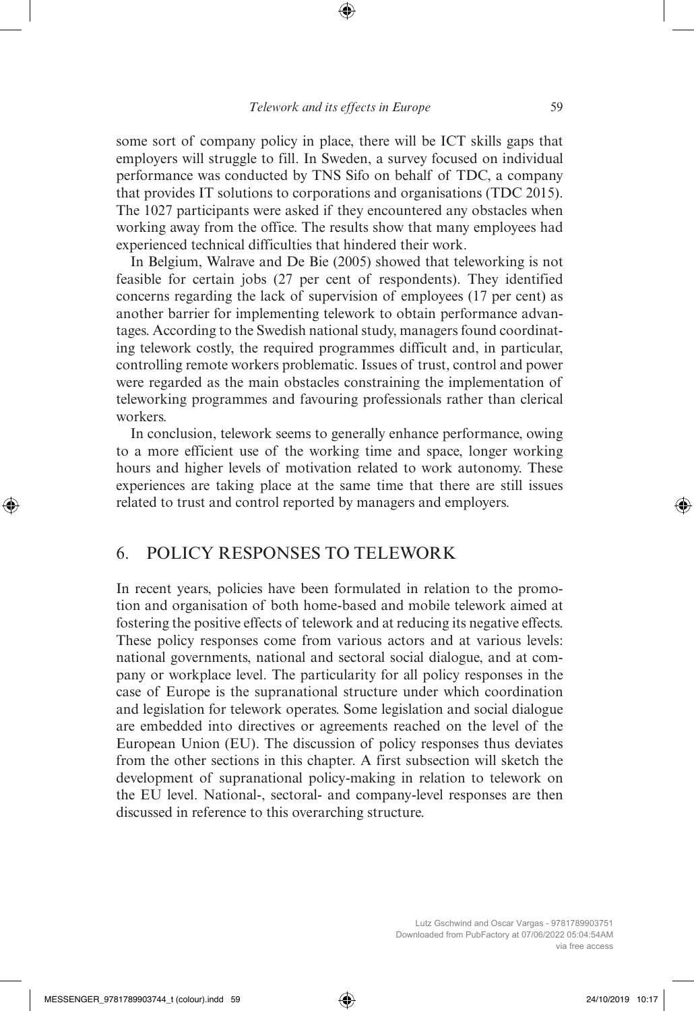some sort of company policy in place, there will be ICT skills gaps that employers will struggle to fill. In Sweden, a survey focused on individual performance was conducted by TNS Sifo on behalf of TDC, a company that provides IT solutions to corporations and organisations (TDC 2015). The 1027 participants were asked if they encountered any obstacles when working away from the office. The results show that many employees had experienced technical difficulties that hindered their work.

In Belgium, Walrave and De Bie (2005) showed that teleworking is not feasible for certain jobs (27 per cent of respondents). They identified concerns regarding the lack of supervision of employees (17 per cent) as another barrier for implementing telework to obtain performance advantages. According to the Swedish national study, managers found coordinating telework costly, the required programmes difficult and, in particular, controlling remote workers problematic. Issues of trust, control and power were regarded as the main obstacles constraining the implementation of teleworking programmes and favouring professionals rather than clerical workers.

In conclusion, telework seems to generally enhance performance, owing to a more efficient use of the working time and space, longer working hours and higher levels of motivation related to work autonomy. These experiences are taking place at the same time that there are still issues related to trust and control reported by managers and employers.

# 6. POLICY RESPONSES TO TELEWORK

In recent years, policies have been formulated in relation to the promotion and organisation of both home-based and mobile telework aimed at fostering the positive effects of telework and at reducing its negative effects. These policy responses come from various actors and at various levels: national governments, national and sectoral social dialogue, and at company or workplace level. The particularity for all policy responses in the case of Europe is the supranational structure under which coordination and legislation for telework operates. Some legislation and social dialogue are embedded into directives or agreements reached on the level of the European Union (EU). The discussion of policy responses thus deviates from the other sections in this chapter. A first subsection will sketch the development of supranational policy-making in relation to telework on the EU level. National-, sectoral- and company-level responses are then discussed in reference to this overarching structure.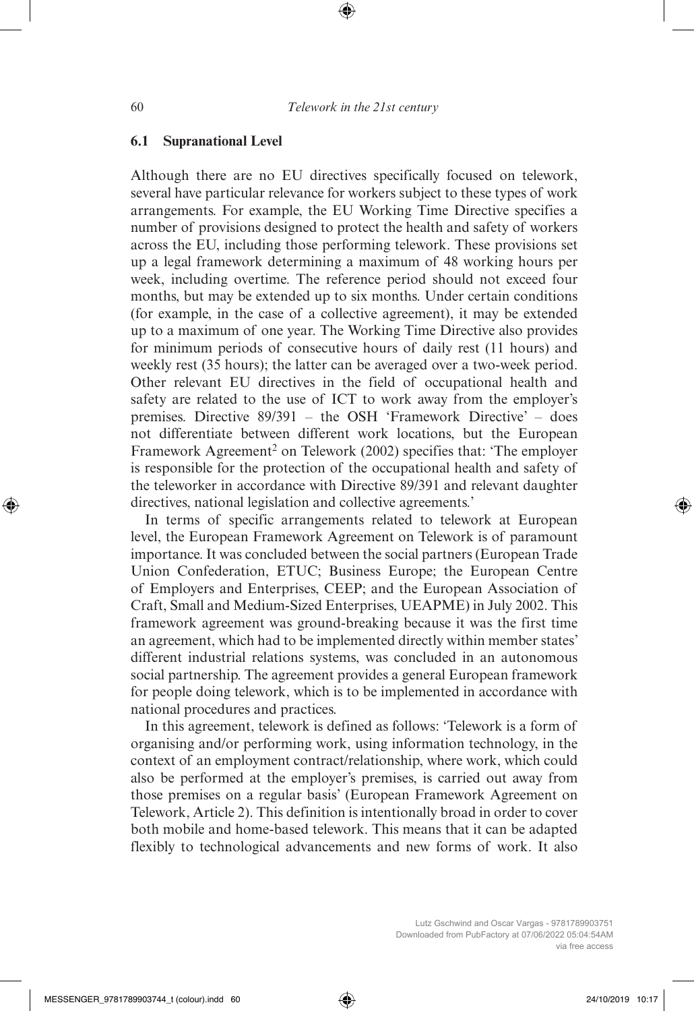#### **6.1 Supranational Level**

Although there are no EU directives specifically focused on telework, several have particular relevance for workers subject to these types of work arrangements. For example, the EU Working Time Directive specifies a number of provisions designed to protect the health and safety of workers across the EU, including those performing telework. These provisions set up a legal framework determining a maximum of 48 working hours per week, including overtime. The reference period should not exceed four months, but may be extended up to six months. Under certain conditions (for example, in the case of a collective agreement), it may be extended up to a maximum of one year. The Working Time Directive also provides for minimum periods of consecutive hours of daily rest (11 hours) and weekly rest (35 hours); the latter can be averaged over a two-week period. Other relevant EU directives in the field of occupational health and safety are related to the use of ICT to work away from the employer's premises. Directive 89/391 – the OSH 'Framework Directive' – does not differentiate between different work locations, but the European Framework Agreement<sup>2</sup> on Telework (2002) specifies that: 'The employer is responsible for the protection of the occupational health and safety of the teleworker in accordance with Directive 89/391 and relevant daughter directives, national legislation and collective agreements.'

In terms of specific arrangements related to telework at European level, the European Framework Agreement on Telework is of paramount importance. It was concluded between the social partners (European Trade Union Confederation, ETUC; Business Europe; the European Centre of Employers and Enterprises, CEEP; and the European Association of Craft, Small and Medium-Sized Enterprises, UEAPME) in July 2002. This framework agreement was ground-breaking because it was the first time an agreement, which had to be implemented directly within member states' different industrial relations systems, was concluded in an autonomous social partnership. The agreement provides a general European framework for people doing telework, which is to be implemented in accordance with national procedures and practices.

In this agreement, telework is defined as follows: 'Telework is a form of organising and/or performing work, using information technology, in the context of an employment contract/relationship, where work, which could also be performed at the employer's premises, is carried out away from those premises on a regular basis' (European Framework Agreement on Telework, Article 2). This definition is intentionally broad in order to cover both mobile and home-based telework. This means that it can be adapted flexibly to technological advancements and new forms of work. It also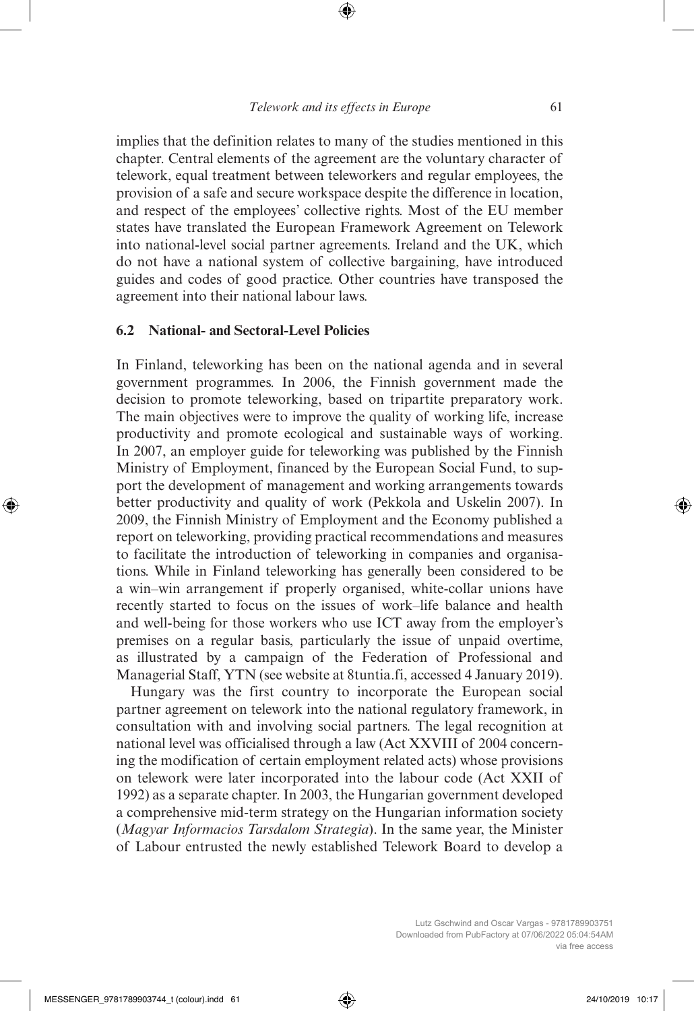implies that the definition relates to many of the studies mentioned in this chapter. Central elements of the agreement are the voluntary character of telework, equal treatment between teleworkers and regular employees, the provision of a safe and secure workspace despite the difference in location, and respect of the employees' collective rights. Most of the EU member states have translated the European Framework Agreement on Telework into national-level social partner agreements. Ireland and the UK, which do not have a national system of collective bargaining, have introduced guides and codes of good practice. Other countries have transposed the agreement into their national labour laws.

#### **6.2 National- and Sectoral-Level Policies**

In Finland, teleworking has been on the national agenda and in several government programmes. In 2006, the Finnish government made the decision to promote teleworking, based on tripartite preparatory work. The main objectives were to improve the quality of working life, increase productivity and promote ecological and sustainable ways of working. In 2007, an employer guide for teleworking was published by the Finnish Ministry of Employment, financed by the European Social Fund, to support the development of management and working arrangements towards better productivity and quality of work (Pekkola and Uskelin 2007). In 2009, the Finnish Ministry of Employment and the Economy published a report on teleworking, providing practical recommendations and measures to facilitate the introduction of teleworking in companies and organisations. While in Finland teleworking has generally been considered to be a win–win arrangement if properly organised, white-collar unions have recently started to focus on the issues of work–life balance and health and well-being for those workers who use ICT away from the employer's premises on a regular basis, particularly the issue of unpaid overtime, as illustrated by a campaign of the Federation of Professional and Managerial Staff, YTN (see website at 8tuntia.fi, accessed 4 January 2019).

Hungary was the first country to incorporate the European social partner agreement on telework into the national regulatory framework, in consultation with and involving social partners. The legal recognition at national level was officialised through a law (Act XXVIII of 2004 concerning the modification of certain employment related acts) whose provisions on telework were later incorporated into the labour code (Act XXII of 1992) as a separate chapter. In 2003, the Hungarian government developed a comprehensive mid-term strategy on the Hungarian information society (*Magyar Informacios Tarsdalom Strategia*). In the same year, the Minister of Labour entrusted the newly established Telework Board to develop a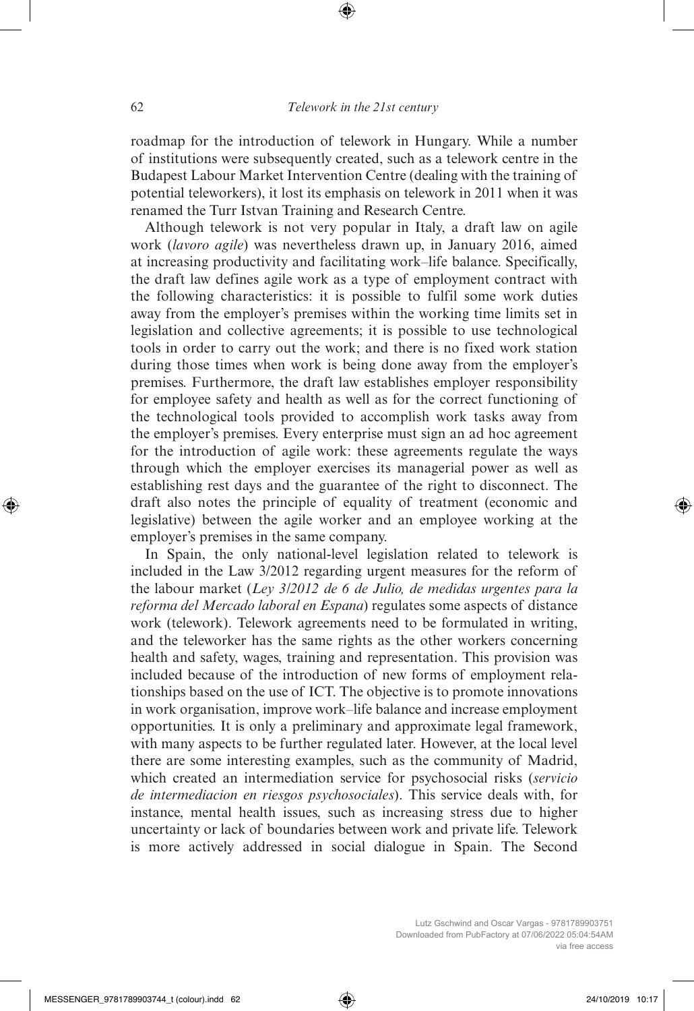roadmap for the introduction of telework in Hungary. While a number of institutions were subsequently created, such as a telework centre in the Budapest Labour Market Intervention Centre (dealing with the training of potential teleworkers), it lost its emphasis on telework in 2011 when it was renamed the Turr Istvan Training and Research Centre.

Although telework is not very popular in Italy, a draft law on agile work (*lavoro agile*) was nevertheless drawn up, in January 2016, aimed at increasing productivity and facilitating work–life balance. Specifically, the draft law defines agile work as a type of employment contract with the following characteristics: it is possible to fulfil some work duties away from the employer's premises within the working time limits set in legislation and collective agreements; it is possible to use technological tools in order to carry out the work; and there is no fixed work station during those times when work is being done away from the employer's premises. Furthermore, the draft law establishes employer responsibility for employee safety and health as well as for the correct functioning of the technological tools provided to accomplish work tasks away from the employer's premises. Every enterprise must sign an ad hoc agreement for the introduction of agile work: these agreements regulate the ways through which the employer exercises its managerial power as well as establishing rest days and the guarantee of the right to disconnect. The draft also notes the principle of equality of treatment (economic and legislative) between the agile worker and an employee working at the employer's premises in the same company.

In Spain, the only national-level legislation related to telework is included in the Law 3/2012 regarding urgent measures for the reform of the labour market (*Ley 3/2012 de 6 de Julio, de medidas urgentes para la reforma del Mercado laboral en Espana*) regulates some aspects of distance work (telework). Telework agreements need to be formulated in writing, and the teleworker has the same rights as the other workers concerning health and safety, wages, training and representation. This provision was included because of the introduction of new forms of employment relationships based on the use of ICT. The objective is to promote innovations in work organisation, improve work–life balance and increase employment opportunities. It is only a preliminary and approximate legal framework, with many aspects to be further regulated later. However, at the local level there are some interesting examples, such as the community of Madrid, which created an intermediation service for psychosocial risks (*servicio de intermediacion en riesgos psychosociales*). This service deals with, for instance, mental health issues, such as increasing stress due to higher uncertainty or lack of boundaries between work and private life. Telework is more actively addressed in social dialogue in Spain. The Second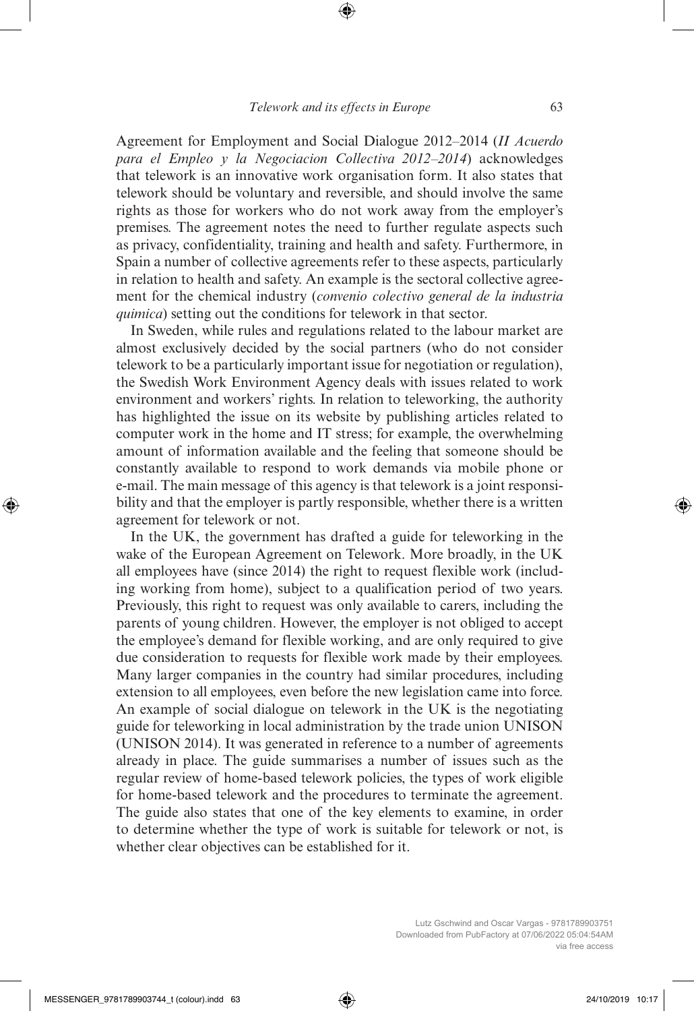Agreement for Employment and Social Dialogue 2012–2014 (*II Acuerdo para el Empleo y la Negociacion Collectiva 2012–2014*) acknowledges that telework is an innovative work organisation form. It also states that telework should be voluntary and reversible, and should involve the same rights as those for workers who do not work away from the employer's premises. The agreement notes the need to further regulate aspects such as privacy, confidentiality, training and health and safety. Furthermore, in Spain a number of collective agreements refer to these aspects, particularly in relation to health and safety. An example is the sectoral collective agreement for the chemical industry (*convenio colectivo general de la industria quimica*) setting out the conditions for telework in that sector.

In Sweden, while rules and regulations related to the labour market are almost exclusively decided by the social partners (who do not consider telework to be a particularly important issue for negotiation or regulation), the Swedish Work Environment Agency deals with issues related to work environment and workers' rights. In relation to teleworking, the authority has highlighted the issue on its website by publishing articles related to computer work in the home and IT stress; for example, the overwhelming amount of information available and the feeling that someone should be constantly available to respond to work demands via mobile phone or e-mail. The main message of this agency is that telework is a joint responsibility and that the employer is partly responsible, whether there is a written agreement for telework or not.

In the UK, the government has drafted a guide for teleworking in the wake of the European Agreement on Telework. More broadly, in the UK all employees have (since 2014) the right to request flexible work (including working from home), subject to a qualification period of two years. Previously, this right to request was only available to carers, including the parents of young children. However, the employer is not obliged to accept the employee's demand for flexible working, and are only required to give due consideration to requests for flexible work made by their employees. Many larger companies in the country had similar procedures, including extension to all employees, even before the new legislation came into force. An example of social dialogue on telework in the UK is the negotiating guide for teleworking in local administration by the trade union UNISON (UNISON 2014). It was generated in reference to a number of agreements already in place. The guide summarises a number of issues such as the regular review of home-based telework policies, the types of work eligible for home-based telework and the procedures to terminate the agreement. The guide also states that one of the key elements to examine, in order to determine whether the type of work is suitable for telework or not, is whether clear objectives can be established for it.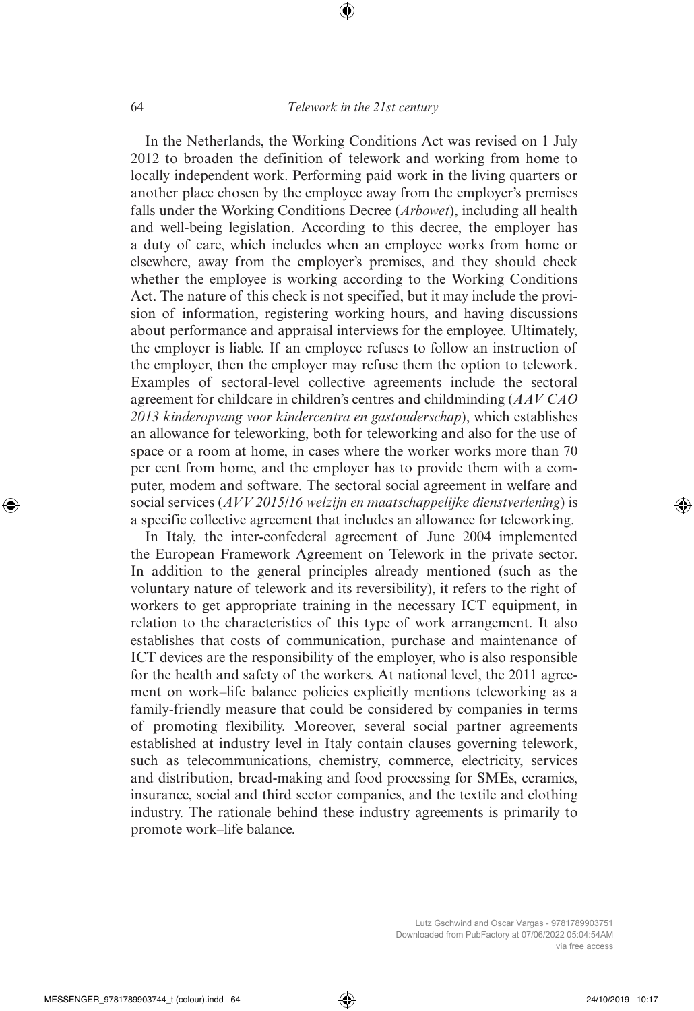In the Netherlands, the Working Conditions Act was revised on 1 July 2012 to broaden the definition of telework and working from home to locally independent work. Performing paid work in the living quarters or another place chosen by the employee away from the employer's premises falls under the Working Conditions Decree (*Arbowet*), including all health and well-being legislation. According to this decree, the employer has a duty of care, which includes when an employee works from home or elsewhere, away from the employer's premises, and they should check whether the employee is working according to the Working Conditions Act. The nature of this check is not specified, but it may include the provision of information, registering working hours, and having discussions about performance and appraisal interviews for the employee. Ultimately, the employer is liable. If an employee refuses to follow an instruction of the employer, then the employer may refuse them the option to telework. Examples of sectoral-level collective agreements include the sectoral agreement for childcare in children's centres and childminding (*AAV CAO 2013 kinderopvang voor kindercentra en gastouderschap*), which establishes an allowance for teleworking, both for teleworking and also for the use of space or a room at home, in cases where the worker works more than 70 per cent from home, and the employer has to provide them with a computer, modem and software. The sectoral social agreement in welfare and social services (*AVV 2015/16 welzijn en maatschappelijke dienstverlening*) is a specific collective agreement that includes an allowance for teleworking.

In Italy, the inter-confederal agreement of June 2004 implemented the European Framework Agreement on Telework in the private sector. In addition to the general principles already mentioned (such as the voluntary nature of telework and its reversibility), it refers to the right of workers to get appropriate training in the necessary ICT equipment, in relation to the characteristics of this type of work arrangement. It also establishes that costs of communication, purchase and maintenance of ICT devices are the responsibility of the employer, who is also responsible for the health and safety of the workers. At national level, the 2011 agreement on work–life balance policies explicitly mentions teleworking as a family-friendly measure that could be considered by companies in terms of promoting flexibility. Moreover, several social partner agreements established at industry level in Italy contain clauses governing telework, such as telecommunications, chemistry, commerce, electricity, services and distribution, bread-making and food processing for SMEs, ceramics, insurance, social and third sector companies, and the textile and clothing industry. The rationale behind these industry agreements is primarily to promote work–life balance.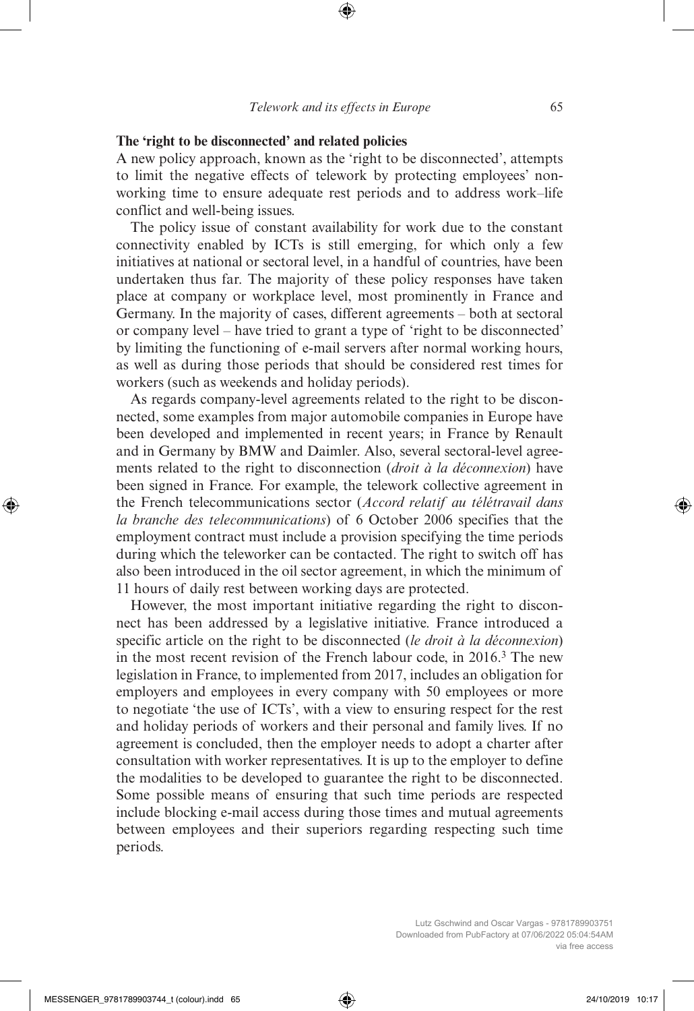#### **The 'right to be disconnected' and related policies**

A new policy approach, known as the 'right to be disconnected', attempts to limit the negative effects of telework by protecting employees' nonworking time to ensure adequate rest periods and to address work–life conflict and well-being issues.

The policy issue of constant availability for work due to the constant connectivity enabled by ICTs is still emerging, for which only a few initiatives at national or sectoral level, in a handful of countries, have been undertaken thus far. The majority of these policy responses have taken place at company or workplace level, most prominently in France and Germany. In the majority of cases, different agreements – both at sectoral or company level – have tried to grant a type of 'right to be disconnected' by limiting the functioning of e-mail servers after normal working hours, as well as during those periods that should be considered rest times for workers (such as weekends and holiday periods).

As regards company-level agreements related to the right to be disconnected, some examples from major automobile companies in Europe have been developed and implemented in recent years; in France by Renault and in Germany by BMW and Daimler. Also, several sectoral-level agreements related to the right to disconnection (*droit à la déconnexion*) have been signed in France. For example, the telework collective agreement in the French telecommunications sector (*Accord relatif au télétravail dans la branche des telecommunications*) of 6 October 2006 specifies that the employment contract must include a provision specifying the time periods during which the teleworker can be contacted. The right to switch off has also been introduced in the oil sector agreement, in which the minimum of 11 hours of daily rest between working days are protected.

However, the most important initiative regarding the right to disconnect has been addressed by a legislative initiative. France introduced a specific article on the right to be disconnected (*le droit à la déconnexion*) in the most recent revision of the French labour code, in 2016.3 The new legislation in France, to implemented from 2017, includes an obligation for employers and employees in every company with 50 employees or more to negotiate 'the use of ICTs', with a view to ensuring respect for the rest and holiday periods of workers and their personal and family lives. If no agreement is concluded, then the employer needs to adopt a charter after consultation with worker representatives. It is up to the employer to define the modalities to be developed to guarantee the right to be disconnected. Some possible means of ensuring that such time periods are respected include blocking e-mail access during those times and mutual agreements between employees and their superiors regarding respecting such time periods.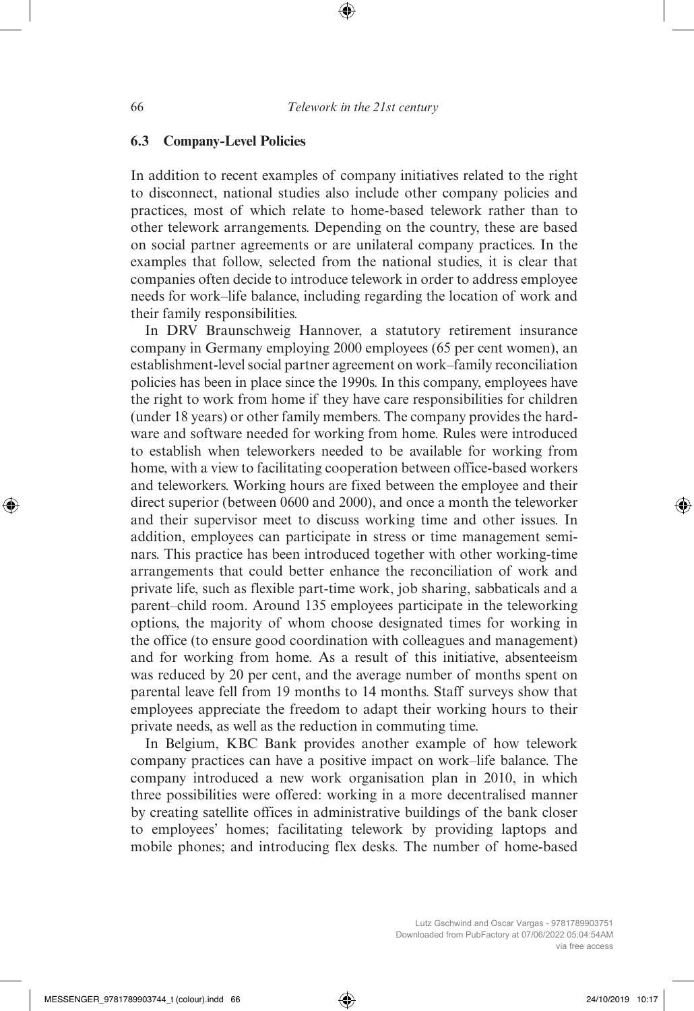#### **6.3 Company-Level Policies**

In addition to recent examples of company initiatives related to the right to disconnect, national studies also include other company policies and practices, most of which relate to home-based telework rather than to other telework arrangements. Depending on the country, these are based on social partner agreements or are unilateral company practices. In the examples that follow, selected from the national studies, it is clear that companies often decide to introduce telework in order to address employee needs for work–life balance, including regarding the location of work and their family responsibilities.

In DRV Braunschweig Hannover, a statutory retirement insurance company in Germany employing 2000 employees (65 per cent women), an establishment-level social partner agreement on work–family reconciliation policies has been in place since the 1990s. In this company, employees have the right to work from home if they have care responsibilities for children (under 18 years) or other family members. The company provides the hardware and software needed for working from home. Rules were introduced to establish when teleworkers needed to be available for working from home, with a view to facilitating cooperation between office-based workers and teleworkers. Working hours are fixed between the employee and their direct superior (between 0600 and 2000), and once a month the teleworker and their supervisor meet to discuss working time and other issues. In addition, employees can participate in stress or time management seminars. This practice has been introduced together with other working-time arrangements that could better enhance the reconciliation of work and private life, such as flexible part-time work, job sharing, sabbaticals and a parent–child room. Around 135 employees participate in the teleworking options, the majority of whom choose designated times for working in the office (to ensure good coordination with colleagues and management) and for working from home. As a result of this initiative, absenteeism was reduced by 20 per cent, and the average number of months spent on parental leave fell from 19 months to 14 months. Staff surveys show that employees appreciate the freedom to adapt their working hours to their private needs, as well as the reduction in commuting time.

In Belgium, KBC Bank provides another example of how telework company practices can have a positive impact on work–life balance. The company introduced a new work organisation plan in 2010, in which three possibilities were offered: working in a more decentralised manner by creating satellite offices in administrative buildings of the bank closer to employees' homes; facilitating telework by providing laptops and mobile phones; and introducing flex desks. The number of home-based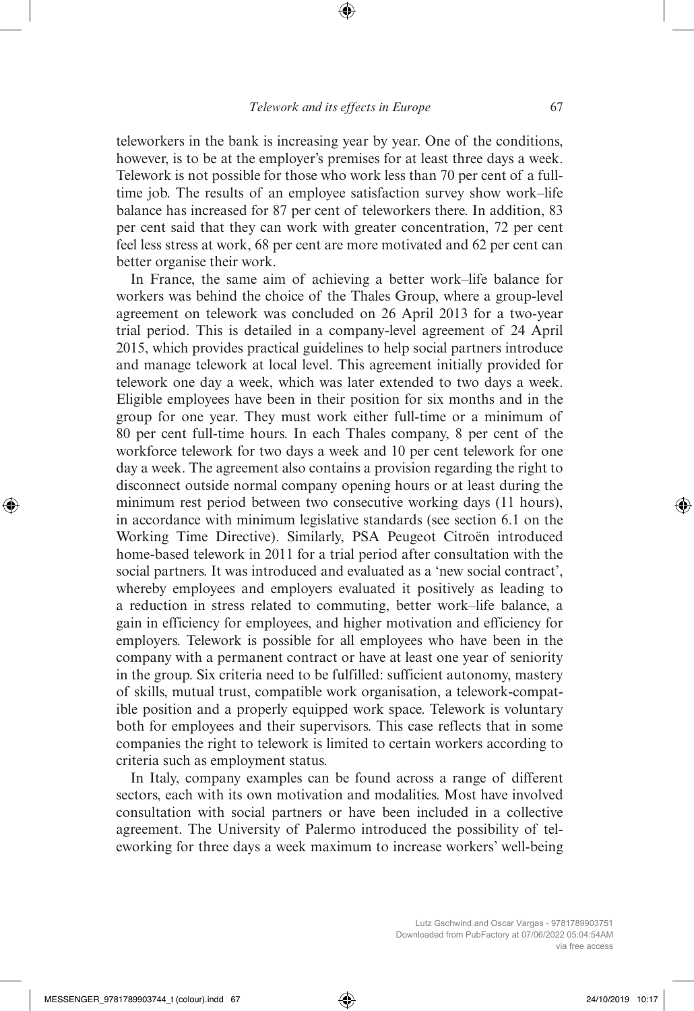teleworkers in the bank is increasing year by year. One of the conditions, however, is to be at the employer's premises for at least three days a week. Telework is not possible for those who work less than 70 per cent of a fulltime job. The results of an employee satisfaction survey show work–life balance has increased for 87 per cent of teleworkers there. In addition, 83 per cent said that they can work with greater concentration, 72 per cent feel less stress at work, 68 per cent are more motivated and 62 per cent can better organise their work.

In France, the same aim of achieving a better work–life balance for workers was behind the choice of the Thales Group, where a group-level agreement on telework was concluded on 26 April 2013 for a two-year trial period. This is detailed in a company-level agreement of 24 April 2015, which provides practical guidelines to help social partners introduce and manage telework at local level. This agreement initially provided for telework one day a week, which was later extended to two days a week. Eligible employees have been in their position for six months and in the group for one year. They must work either full-time or a minimum of 80 per cent full-time hours. In each Thales company, 8 per cent of the workforce telework for two days a week and 10 per cent telework for one day a week. The agreement also contains a provision regarding the right to disconnect outside normal company opening hours or at least during the minimum rest period between two consecutive working days (11 hours), in accordance with minimum legislative standards (see section 6.1 on the Working Time Directive). Similarly, PSA Peugeot Citroën introduced home-based telework in 2011 for a trial period after consultation with the social partners. It was introduced and evaluated as a 'new social contract', whereby employees and employers evaluated it positively as leading to a reduction in stress related to commuting, better work–life balance, a gain in efficiency for employees, and higher motivation and efficiency for employers. Telework is possible for all employees who have been in the company with a permanent contract or have at least one year of seniority in the group. Six criteria need to be fulfilled: sufficient autonomy, mastery of skills, mutual trust, compatible work organisation, a telework-compatible position and a properly equipped work space. Telework is voluntary both for employees and their supervisors. This case reflects that in some companies the right to telework is limited to certain workers according to criteria such as employment status.

In Italy, company examples can be found across a range of different sectors, each with its own motivation and modalities. Most have involved consultation with social partners or have been included in a collective agreement. The University of Palermo introduced the possibility of teleworking for three days a week maximum to increase workers' well-being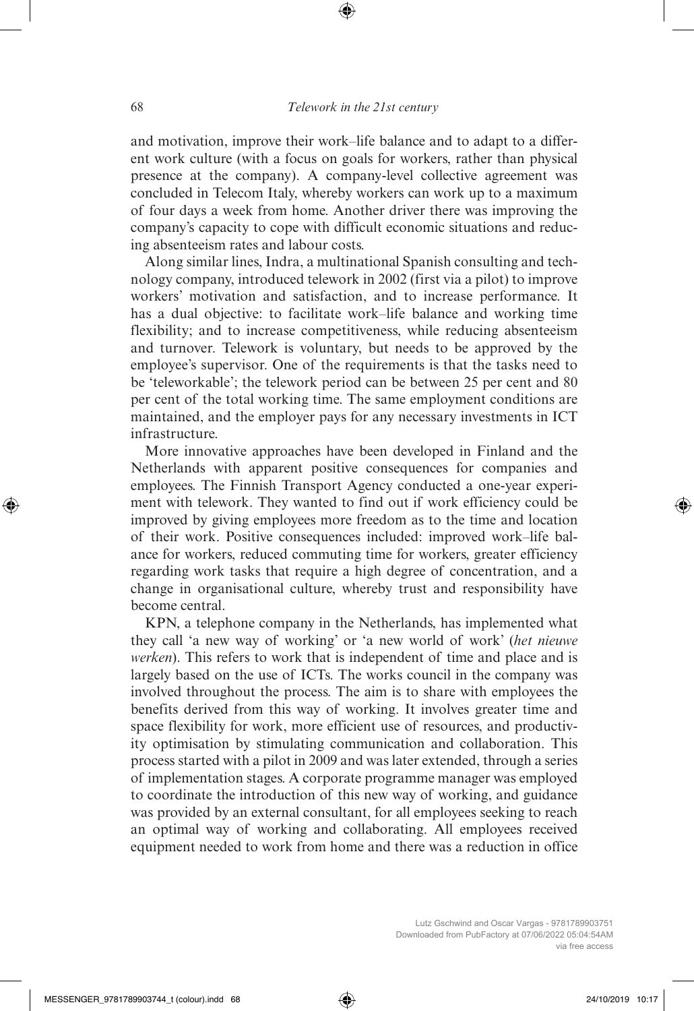and motivation, improve their work–life balance and to adapt to a different work culture (with a focus on goals for workers, rather than physical presence at the company). A company-level collective agreement was concluded in Telecom Italy, whereby workers can work up to a maximum of four days a week from home. Another driver there was improving the company's capacity to cope with difficult economic situations and reducing absenteeism rates and labour costs.

Along similar lines, Indra, a multinational Spanish consulting and technology company, introduced telework in 2002 (first via a pilot) to improve workers' motivation and satisfaction, and to increase performance. It has a dual objective: to facilitate work–life balance and working time flexibility; and to increase competitiveness, while reducing absenteeism and turnover. Telework is voluntary, but needs to be approved by the employee's supervisor. One of the requirements is that the tasks need to be 'teleworkable'; the telework period can be between 25 per cent and 80 per cent of the total working time. The same employment conditions are maintained, and the employer pays for any necessary investments in ICT infrastructure.

More innovative approaches have been developed in Finland and the Netherlands with apparent positive consequences for companies and employees. The Finnish Transport Agency conducted a one-year experiment with telework. They wanted to find out if work efficiency could be improved by giving employees more freedom as to the time and location of their work. Positive consequences included: improved work–life balance for workers, reduced commuting time for workers, greater efficiency regarding work tasks that require a high degree of concentration, and a change in organisational culture, whereby trust and responsibility have become central.

KPN, a telephone company in the Netherlands, has implemented what they call 'a new way of working' or 'a new world of work' (*het nieuwe werken*). This refers to work that is independent of time and place and is largely based on the use of ICTs. The works council in the company was involved throughout the process. The aim is to share with employees the benefits derived from this way of working. It involves greater time and space flexibility for work, more efficient use of resources, and productivity optimisation by stimulating communication and collaboration. This process started with a pilot in 2009 and was later extended, through a series of implementation stages. A corporate programme manager was employed to coordinate the introduction of this new way of working, and guidance was provided by an external consultant, for all employees seeking to reach an optimal way of working and collaborating. All employees received equipment needed to work from home and there was a reduction in office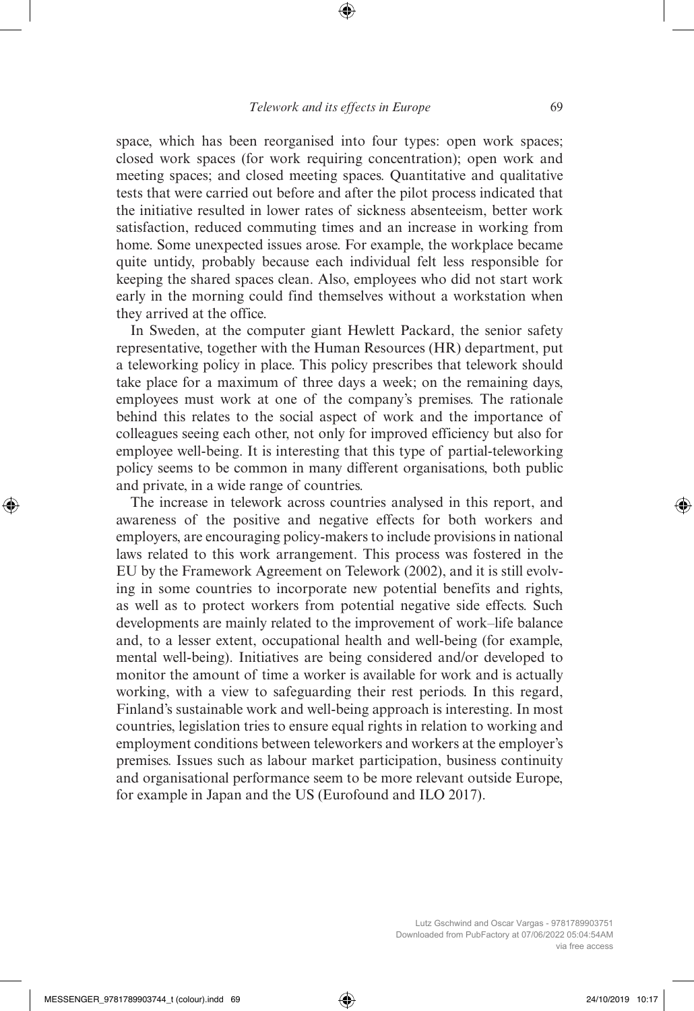space, which has been reorganised into four types: open work spaces; closed work spaces (for work requiring concentration); open work and meeting spaces; and closed meeting spaces. Quantitative and qualitative tests that were carried out before and after the pilot process indicated that the initiative resulted in lower rates of sickness absenteeism, better work satisfaction, reduced commuting times and an increase in working from home. Some unexpected issues arose. For example, the workplace became quite untidy, probably because each individual felt less responsible for keeping the shared spaces clean. Also, employees who did not start work early in the morning could find themselves without a workstation when they arrived at the office.

In Sweden, at the computer giant Hewlett Packard, the senior safety representative, together with the Human Resources (HR) department, put a teleworking policy in place. This policy prescribes that telework should take place for a maximum of three days a week; on the remaining days, employees must work at one of the company's premises. The rationale behind this relates to the social aspect of work and the importance of colleagues seeing each other, not only for improved efficiency but also for employee well-being. It is interesting that this type of partial-teleworking policy seems to be common in many different organisations, both public and private, in a wide range of countries.

The increase in telework across countries analysed in this report, and awareness of the positive and negative effects for both workers and employers, are encouraging policy-makers to include provisions in national laws related to this work arrangement. This process was fostered in the EU by the Framework Agreement on Telework (2002), and it is still evolving in some countries to incorporate new potential benefits and rights, as well as to protect workers from potential negative side effects. Such developments are mainly related to the improvement of work–life balance and, to a lesser extent, occupational health and well-being (for example, mental well-being). Initiatives are being considered and/or developed to monitor the amount of time a worker is available for work and is actually working, with a view to safeguarding their rest periods. In this regard, Finland's sustainable work and well-being approach is interesting. In most countries, legislation tries to ensure equal rights in relation to working and employment conditions between teleworkers and workers at the employer's premises. Issues such as labour market participation, business continuity and organisational performance seem to be more relevant outside Europe, for example in Japan and the US (Eurofound and ILO 2017).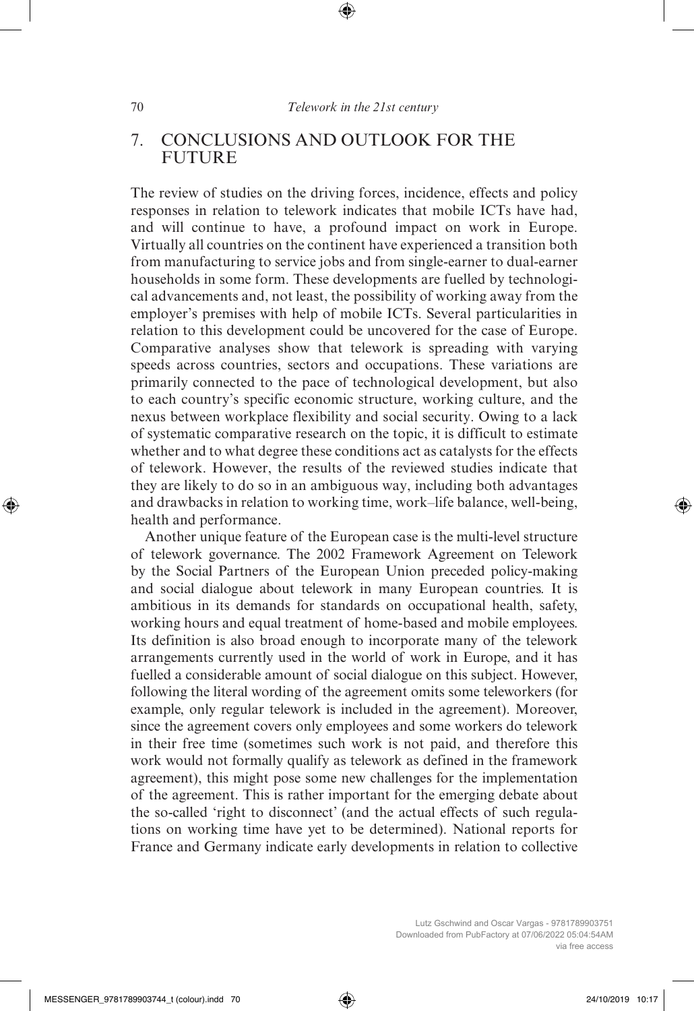# 7. CONCLUSIONS AND OUTLOOK FOR THE FUTURE

The review of studies on the driving forces, incidence, effects and policy responses in relation to telework indicates that mobile ICTs have had, and will continue to have, a profound impact on work in Europe. Virtually all countries on the continent have experienced a transition both from manufacturing to service jobs and from single-earner to dual-earner households in some form. These developments are fuelled by technological advancements and, not least, the possibility of working away from the employer's premises with help of mobile ICTs. Several particularities in relation to this development could be uncovered for the case of Europe. Comparative analyses show that telework is spreading with varying speeds across countries, sectors and occupations. These variations are primarily connected to the pace of technological development, but also to each country's specific economic structure, working culture, and the nexus between workplace flexibility and social security. Owing to a lack of systematic comparative research on the topic, it is difficult to estimate whether and to what degree these conditions act as catalysts for the effects of telework. However, the results of the reviewed studies indicate that they are likely to do so in an ambiguous way, including both advantages and drawbacks in relation to working time, work–life balance, well-being, health and performance.

Another unique feature of the European case is the multi-level structure of telework governance. The 2002 Framework Agreement on Telework by the Social Partners of the European Union preceded policy-making and social dialogue about telework in many European countries. It is ambitious in its demands for standards on occupational health, safety, working hours and equal treatment of home-based and mobile employees. Its definition is also broad enough to incorporate many of the telework arrangements currently used in the world of work in Europe, and it has fuelled a considerable amount of social dialogue on this subject. However, following the literal wording of the agreement omits some teleworkers (for example, only regular telework is included in the agreement). Moreover, since the agreement covers only employees and some workers do telework in their free time (sometimes such work is not paid, and therefore this work would not formally qualify as telework as defined in the framework agreement), this might pose some new challenges for the implementation of the agreement. This is rather important for the emerging debate about the so-called 'right to disconnect' (and the actual effects of such regulations on working time have yet to be determined). National reports for France and Germany indicate early developments in relation to collective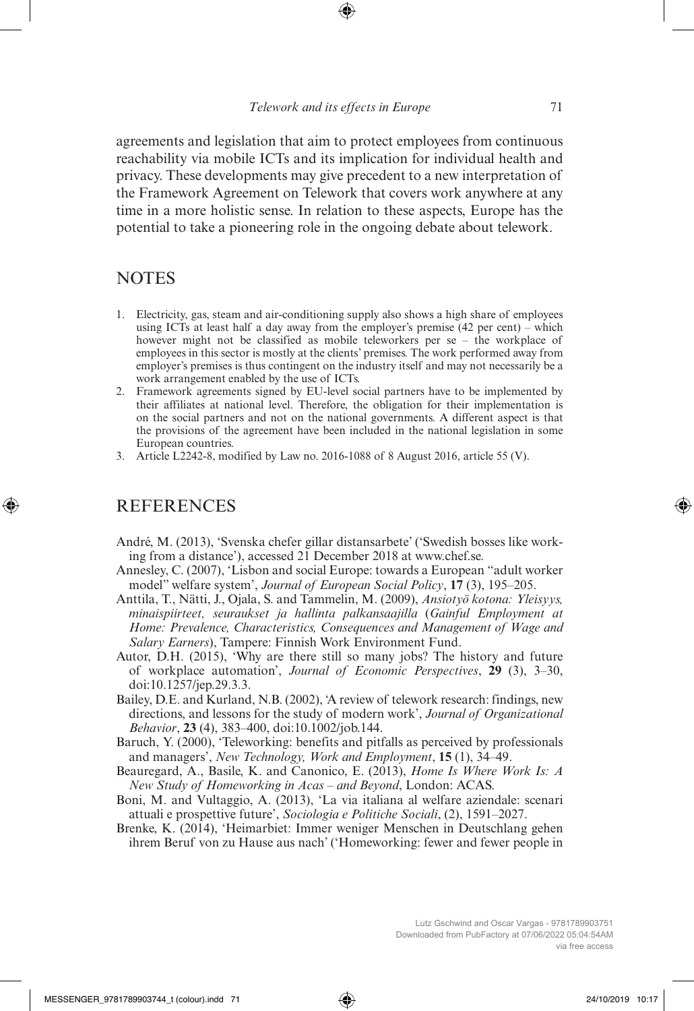agreements and legislation that aim to protect employees from continuous reachability via mobile ICTs and its implication for individual health and privacy. These developments may give precedent to a new interpretation of the Framework Agreement on Telework that covers work anywhere at any time in a more holistic sense. In relation to these aspects, Europe has the potential to take a pioneering role in the ongoing debate about telework.

## **NOTES**

- 1. Electricity, gas, steam and air-conditioning supply also shows a high share of employees using ICTs at least half a day away from the employer's premise (42 per cent) – which however might not be classified as mobile teleworkers per se – the workplace of employees in this sector is mostly at the clients' premises. The work performed away from employer's premises is thus contingent on the industry itself and may not necessarily be a work arrangement enabled by the use of ICTs.
- 2. Framework agreements signed by EU-level social partners have to be implemented by their affiliates at national level. Therefore, the obligation for their implementation is on the social partners and not on the national governments. A different aspect is that the provisions of the agreement have been included in the national legislation in some European countries.
- 3. Article L2242-8, modified by Law no. 2016-1088 of 8 August 2016, article 55 (V).

# **REFERENCES**

- André, M. (2013), 'Svenska chefer gillar distansarbete' ('Swedish bosses like working from a distance'), accessed 21 December 2018 at www.chef.se.
- Annesley, C. (2007), 'Lisbon and social Europe: towards a European "adult worker model" welfare system', *Journal of European Social Policy*, **17** (3), 195–205.
- Anttila, T., Nätti, J., Ojala, S. and Tammelin, M. (2009), *Ansiotyö kotona: Yleisyys, minaispiirteet, seuraukset ja hallinta palkansaajilla* (*Gainful Employment at Home: Prevalence, Characteristics, Consequences and Management of Wage and Salary Earners*), Tampere: Finnish Work Environment Fund.
- Autor, D.H. (2015), 'Why are there still so many jobs? The history and future of workplace automation', *Journal of Economic Perspectives*, **29** (3), 3–30, doi:10.1257/jep.29.3.3.
- Bailey, D.E. and Kurland, N.B. (2002), 'A review of telework research: findings, new directions, and lessons for the study of modern work', *Journal of Organizational Behavior*, **23** (4), 383–400, doi:10.1002/job.144.
- Baruch, Y. (2000), 'Teleworking: benefits and pitfalls as perceived by professionals and managers', *New Technology, Work and Employment*, **15** (1), 34–49.
- Beauregard, A., Basile, K. and Canonico, E. (2013), *Home Is Where Work Is: A New Study of Homeworking in Acas – and Beyond*, London: ACAS.
- Boni, M. and Vultaggio, A. (2013), 'La via italiana al welfare aziendale: scenari attuali e prospettive future', *Sociologia e Politiche Sociali*, (2), 1591–2027.
- Brenke, K. (2014), 'Heimarbiet: Immer weniger Menschen in Deutschlang gehen ihrem Beruf von zu Hause aus nach' ('Homeworking: fewer and fewer people in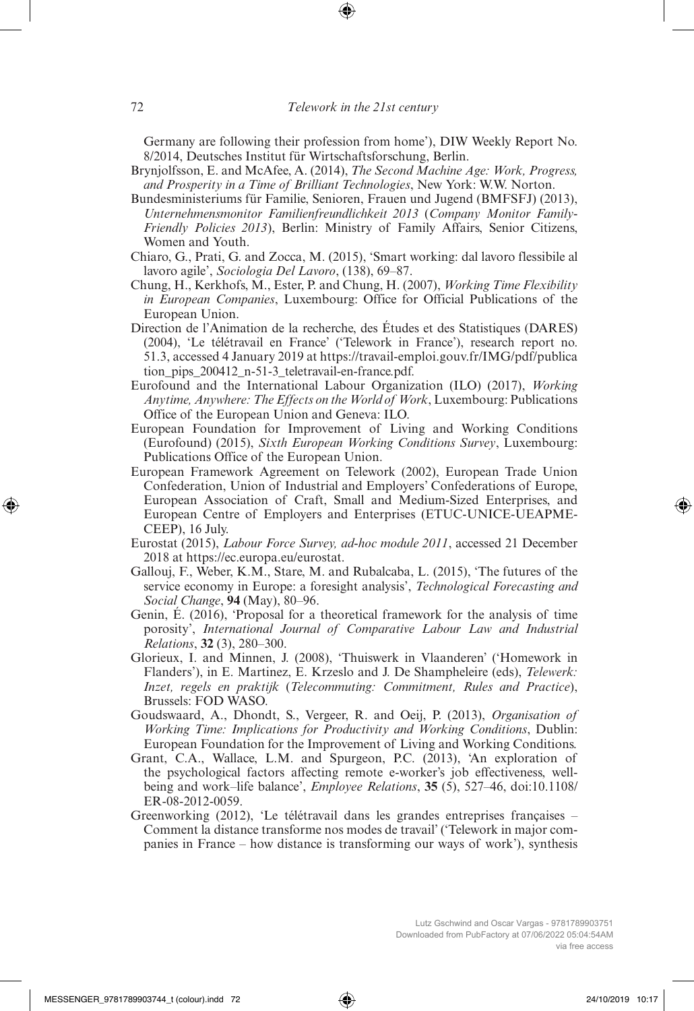Germany are following their profession from home'), DIW Weekly Report No. 8/2014, Deutsches Institut für Wirtschaftsforschung, Berlin.

- Brynjolfsson, E. and McAfee, A. (2014), *The Second Machine Age: Work, Progress, and Prosperity in a Time of Brilliant Technologies*, New York: W.W. Norton.
- Bundesministeriums für Familie, Senioren, Frauen und Jugend (BMFSFJ) (2013), *Unternehmensmonitor Familienfreundlichkeit 2013* (*Company Monitor Family-Friendly Policies 2013*), Berlin: Ministry of Family Affairs, Senior Citizens, Women and Youth.
- Chiaro, G., Prati, G. and Zocca, M. (2015), 'Smart working: dal lavoro flessibile al lavoro agile', *Sociologia Del Lavoro*, (138), 69–87.
- Chung, H., Kerkhofs, M., Ester, P. and Chung, H. (2007), *Working Time Flexibility in European Companies*, Luxembourg: Office for Official Publications of the European Union.
- Direction de l'Animation de la recherche, des Études et des Statistiques (DARES) (2004), 'Le télétravail en France' ('Telework in France'), research report no. 51.3, accessed 4 January 2019 at https://travail-emploi.gouv.fr/IMG/pdf/publica tion pips 200412 n-51-3 teletravail-en-france.pdf.
- Eurofound and the International Labour Organization (ILO) (2017), *Working Anytime, Anywhere: The Effects on the World of Work*, Luxembourg: Publications Office of the European Union and Geneva: ILO.
- European Foundation for Improvement of Living and Working Conditions (Eurofound) (2015), *Sixth European Working Conditions Survey*, Luxembourg: Publications Office of the European Union.
- European Framework Agreement on Telework (2002), European Trade Union Confederation, Union of Industrial and Employers' Confederations of Europe, European Association of Craft, Small and Medium-Sized Enterprises, and European Centre of Employers and Enterprises (ETUC-UNICE-UEAPME-CEEP), 16 July.
- Eurostat (2015), *Labour Force Survey, ad-hoc module 2011*, accessed 21 December 2018 at https://ec.europa.eu/eurostat.
- Gallouj, F., Weber, K.M., Stare, M. and Rubalcaba, L. (2015), 'The futures of the service economy in Europe: a foresight analysis', *Technological Forecasting and Social Change*, **94** (May), 80–96.
- Genin, É. (2016), 'Proposal for a theoretical framework for the analysis of time porosity', *International Journal of Comparative Labour Law and Industrial Relations*, **32** (3), 280–300.
- Glorieux, I. and Minnen, J. (2008), 'Thuiswerk in Vlaanderen' ('Homework in Flanders'), in E. Martinez, E. Krzeslo and J. De Shampheleire (eds), *Telewerk: Inzet, regels en praktijk* (*Telecommuting: Commitment, Rules and Practice*), Brussels: FOD WASO.
- Goudswaard, A., Dhondt, S., Vergeer, R. and Oeij, P. (2013), *Organisation of Working Time: Implications for Productivity and Working Conditions*, Dublin: European Foundation for the Improvement of Living and Working Conditions.
- Grant, C.A., Wallace, L.M. and Spurgeon, P.C. (2013), 'An exploration of the psychological factors affecting remote e-worker's job effectiveness, wellbeing and work–life balance', *Employee Relations*, **35** (5), 527–46, doi:10.1108/ ER-08-2012-0059.
- Greenworking (2012), 'Le télétravail dans les grandes entreprises françaises Comment la distance transforme nos modes de travail' ('Telework in major companies in France – how distance is transforming our ways of work'), synthesis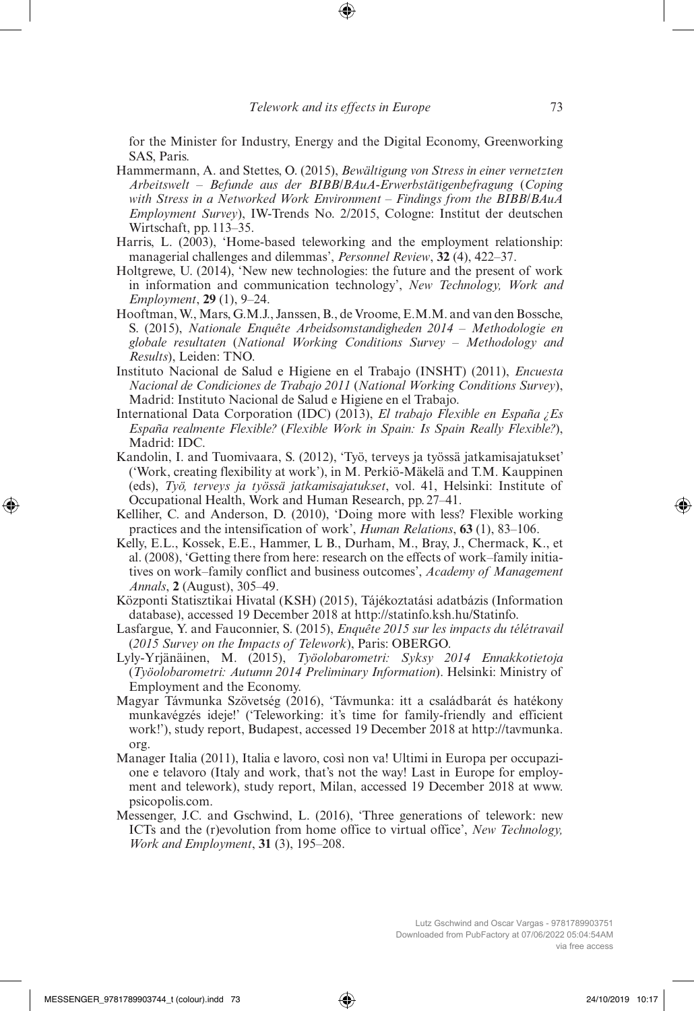for the Minister for Industry, Energy and the Digital Economy, Greenworking SAS, Paris.

- Hammermann, A. and Stettes, O. (2015), *Bewältigung von Stress in einer vernetzten Arbeitswelt – Befunde aus der BIBB/BAuA-Erwerbstätigenbefragung* (*Coping with Stress in a Networked Work Environment – Findings from the BIBB/BAuA Employment Survey*), IW-Trends No. 2/2015, Cologne: Institut der deutschen Wirtschaft, pp.113–35.
- Harris, L. (2003), 'Home-based teleworking and the employment relationship: managerial challenges and dilemmas', *Personnel Review*, **32** (4), 422–37.
- Holtgrewe, U. (2014), 'New new technologies: the future and the present of work in information and communication technology', *New Technology, Work and Employment*, **29** (1), 9–24.
- Hooftman, W., Mars, G.M.J., Janssen, B., de Vroome, E.M.M. and van den Bossche, S. (2015), *Nationale Enquête Arbeidsomstandigheden 2014 – Methodologie en globale resultaten* (*National Working Conditions Survey – Methodology and Results*), Leiden: TNO.
- Instituto Nacional de Salud e Higiene en el Trabajo (INSHT) (2011), *Encuesta Nacional de Condiciones de Trabajo 2011* (*National Working Conditions Survey*), Madrid: Instituto Nacional de Salud e Higiene en el Trabajo.
- International Data Corporation (IDC) (2013), *El trabajo Flexible en España ¿Es España realmente Flexible?* (*Flexible Work in Spain: Is Spain Really Flexible?*), Madrid: IDC.
- Kandolin, I. and Tuomivaara, S. (2012), 'Työ, terveys ja työssä jatkamisajatukset' ('Work, creating flexibility at work'), in M. Perkiö-Mäkelä and T.M. Kauppinen (eds), *Työ, terveys ja työssä jatkamisajatukset*, vol. 41, Helsinki: Institute of Occupational Health, Work and Human Research, pp. 27–41.
- Kelliher, C. and Anderson, D. (2010), 'Doing more with less? Flexible working practices and the intensification of work', *Human Relations*, **63** (1), 83–106.
- Kelly, E.L., Kossek, E.E., Hammer, L B., Durham, M., Bray, J., Chermack, K., et al. (2008), 'Getting there from here: research on the effects of work–family initiatives on work–family conflict and business outcomes', *Academy of Management Annals*, **2** (August), 305–49.
- Központi Statisztikai Hivatal (KSH) (2015), Tájékoztatási adatbázis (Information database), accessed 19 December 2018 at http://statinfo.ksh.hu/Statinfo.
- Lasfargue, Y. and Fauconnier, S. (2015), *Enquête 2015 sur les impacts du télétravail* (*2015 Survey on the Impacts of Telework*), Paris: OBERGO.
- Lyly-Yrjänäinen, M. (2015), *Työolobarometri: Syksy 2014 Ennakkotietoja* (*Työolobarometri: Autumn 2014 Preliminary Information*). Helsinki: Ministry of Employment and the Economy.
- Magyar Távmunka Szövetség (2016), 'Távmunka: itt a családbarát és hatékony munkavégzés ideje!' ('Teleworking: it's time for family-friendly and efficient work!'), study report, Budapest, accessed 19 December 2018 at http://tavmunka. org.
- Manager Italia (2011), Italia e lavoro, così non va! Ultimi in Europa per occupazione e telavoro (Italy and work, that's not the way! Last in Europe for employment and telework), study report, Milan, accessed 19 December 2018 at www. psicopolis.com.
- Messenger, J.C. and Gschwind, L. (2016), 'Three generations of telework: new ICTs and the (r)evolution from home office to virtual office', *New Technology, Work and Employment*, **31** (3), 195–208.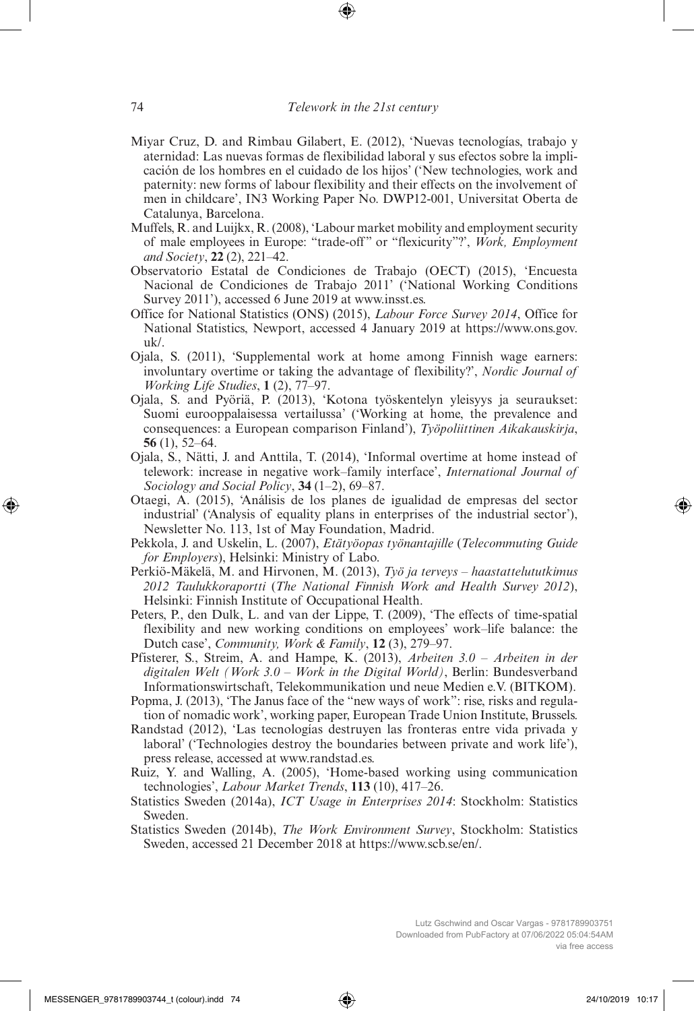- Miyar Cruz, D. and Rimbau Gilabert, E. (2012), 'Nuevas tecnologías, trabajo y aternidad: Las nuevas formas de flexibilidad laboral y sus efectos sobre la implicación de los hombres en el cuidado de los hijos' ('New technologies, work and paternity: new forms of labour flexibility and their effects on the involvement of men in childcare', IN3 Working Paper No. DWP12-001, Universitat Oberta de Catalunya, Barcelona.
- Muffels, R. and Luijkx, R. (2008), 'Labour market mobility and employment security of male employees in Europe: "trade-off" or "flexicurity"?', *Work, Employment and Society*, **22** (2), 221–42.
- Observatorio Estatal de Condiciones de Trabajo (OECT) (2015), 'Encuesta Nacional de Condiciones de Trabajo 2011' ('National Working Conditions Survey 2011'), accessed 6 June 2019 at www.insst.es.
- Office for National Statistics (ONS) (2015), *Labour Force Survey 2014*, Office for National Statistics, Newport, accessed 4 January 2019 at https://www.ons.gov.  $\frac{1}{k}$
- Ojala, S. (2011), 'Supplemental work at home among Finnish wage earners: involuntary overtime or taking the advantage of flexibility?', *Nordic Journal of Working Life Studies*, **1** (2), 77–97.
- Ojala, S. and Pyöriä, P. (2013), 'Kotona työskentelyn yleisyys ja seuraukset: Suomi eurooppalaisessa vertailussa' ('Working at home, the prevalence and consequences: a European comparison Finland'), *Työpoliittinen Aikakauskirja*, **56** (1), 52–64.
- Ojala, S., Nätti, J. and Anttila, T. (2014), 'Informal overtime at home instead of telework: increase in negative work–family interface', *International Journal of Sociology and Social Policy*, **34** (1–2), 69–87.
- Otaegi, A. (2015), 'Análisis de los planes de igualidad de empresas del sector industrial' ('Analysis of equality plans in enterprises of the industrial sector'), Newsletter No. 113, 1st of May Foundation, Madrid.
- Pekkola, J. and Uskelin, L. (2007), *Etätyöopas työnantajille* (*Telecommuting Guide for Employers*), Helsinki: Ministry of Labo.
- Perkiö-Mäkelä, M. and Hirvonen, M. (2013), *Työ ja terveys haastattelututkimus 2012 Taulukkoraportti* (*The National Finnish Work and Health Survey 2012*), Helsinki: Finnish Institute of Occupational Health.
- Peters, P., den Dulk, L. and van der Lippe, T. (2009), 'The effects of time-spatial flexibility and new working conditions on employees' work–life balance: the Dutch case', *Community, Work & Family*, **12** (3), 279–97.
- Pfisterer, S., Streim, A. and Hampe, K. (2013), *Arbeiten 3.0 Arbeiten in der digitalen Welt (Work 3.0 – Work in the Digital World)*, Berlin: Bundesverband Informationswirtschaft, Telekommunikation und neue Medien e.V. (BITKOM).
- Popma, J. (2013), 'The Janus face of the "new ways of work": rise, risks and regulation of nomadic work', working paper, European Trade Union Institute, Brussels.
- Randstad (2012), 'Las tecnologías destruyen las fronteras entre vida privada y laboral' ('Technologies destroy the boundaries between private and work life'), press release, accessed at www.randstad.es.
- Ruiz, Y. and Walling, A. (2005), 'Home-based working using communication technologies', *Labour Market Trends*, **113** (10), 417–26.
- Statistics Sweden (2014a), *ICT Usage in Enterprises 2014*: Stockholm: Statistics Sweden.
- Statistics Sweden (2014b), *The Work Environment Survey*, Stockholm: Statistics Sweden, accessed 21 December 2018 at https://www.scb.se/en/.